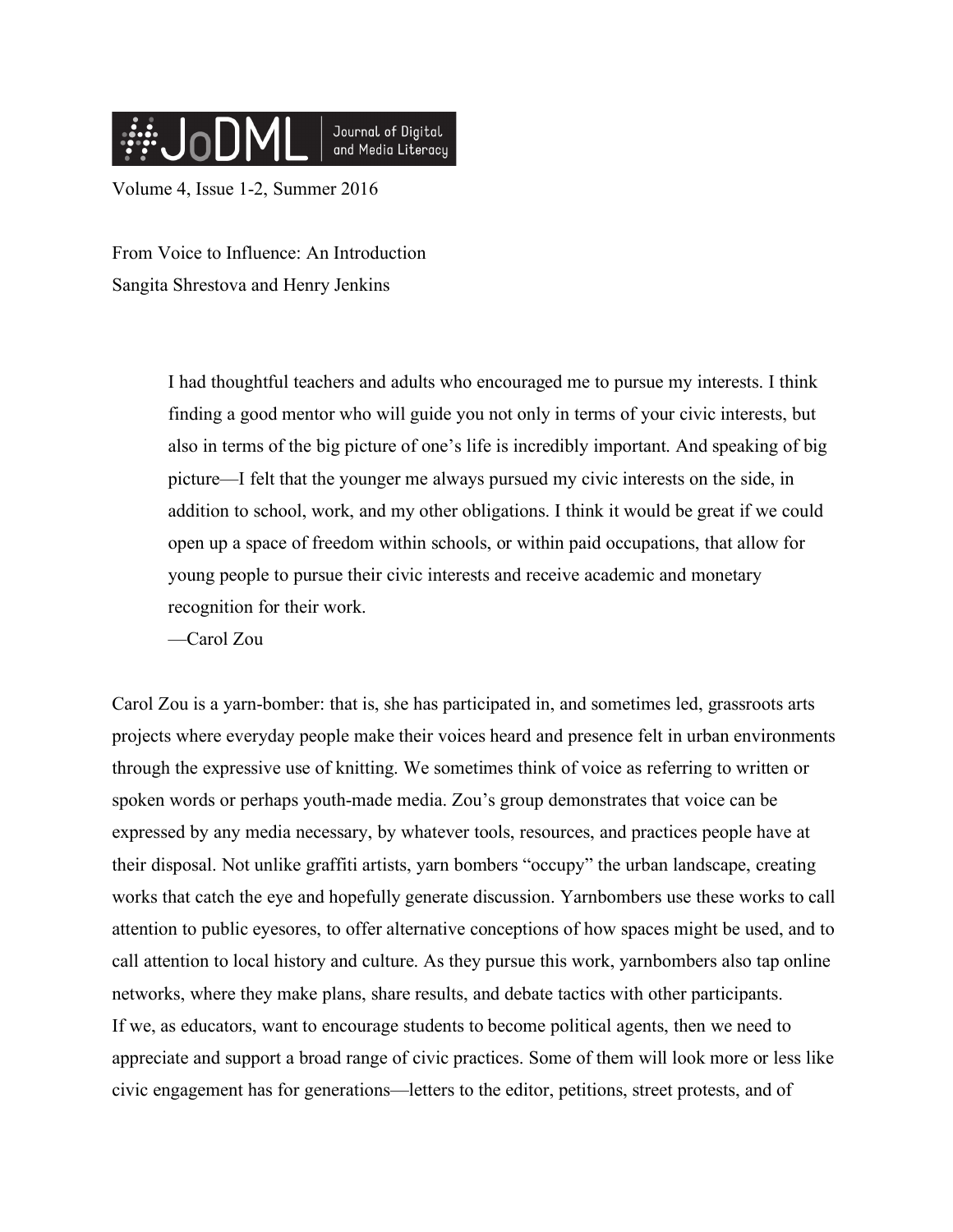

Volume 4, Issue 1-2, Summer 2016

From Voice to Influence: An Introduction Sangita Shrestova and Henry Jenkins

> I had thoughtful teachers and adults who encouraged me to pursue my interests. I think finding a good mentor who will guide you not only in terms of your civic interests, but also in terms of the big picture of one's life is incredibly important. And speaking of big picture—I felt that the younger me always pursued my civic interests on the side, in addition to school, work, and my other obligations. I think it would be great if we could open up a space of freedom within schools, or within paid occupations, that allow for young people to pursue their civic interests and receive academic and monetary recognition for their work.

—Carol Zou

Carol Zou is a yarn-bomber: that is, she has participated in, and sometimes led, grassroots arts projects where everyday people make their voices heard and presence felt in urban environments through the expressive use of knitting. We sometimes think of voice as referring to written or spoken words or perhaps youth-made media. Zou's group demonstrates that voice can be expressed by any media necessary, by whatever tools, resources, and practices people have at their disposal. Not unlike graffiti artists, yarn bombers "occupy" the urban landscape, creating works that catch the eye and hopefully generate discussion. Yarnbombers use these works to call attention to public eyesores, to offer alternative conceptions of how spaces might be used, and to call attention to local history and culture. As they pursue this work, yarnbombers also tap online networks, where they make plans, share results, and debate tactics with other participants. If we, as educators, want to encourage students to become political agents, then we need to appreciate and support a broad range of civic practices. Some of them will look more or less like civic engagement has for generations—letters to the editor, petitions, street protests, and of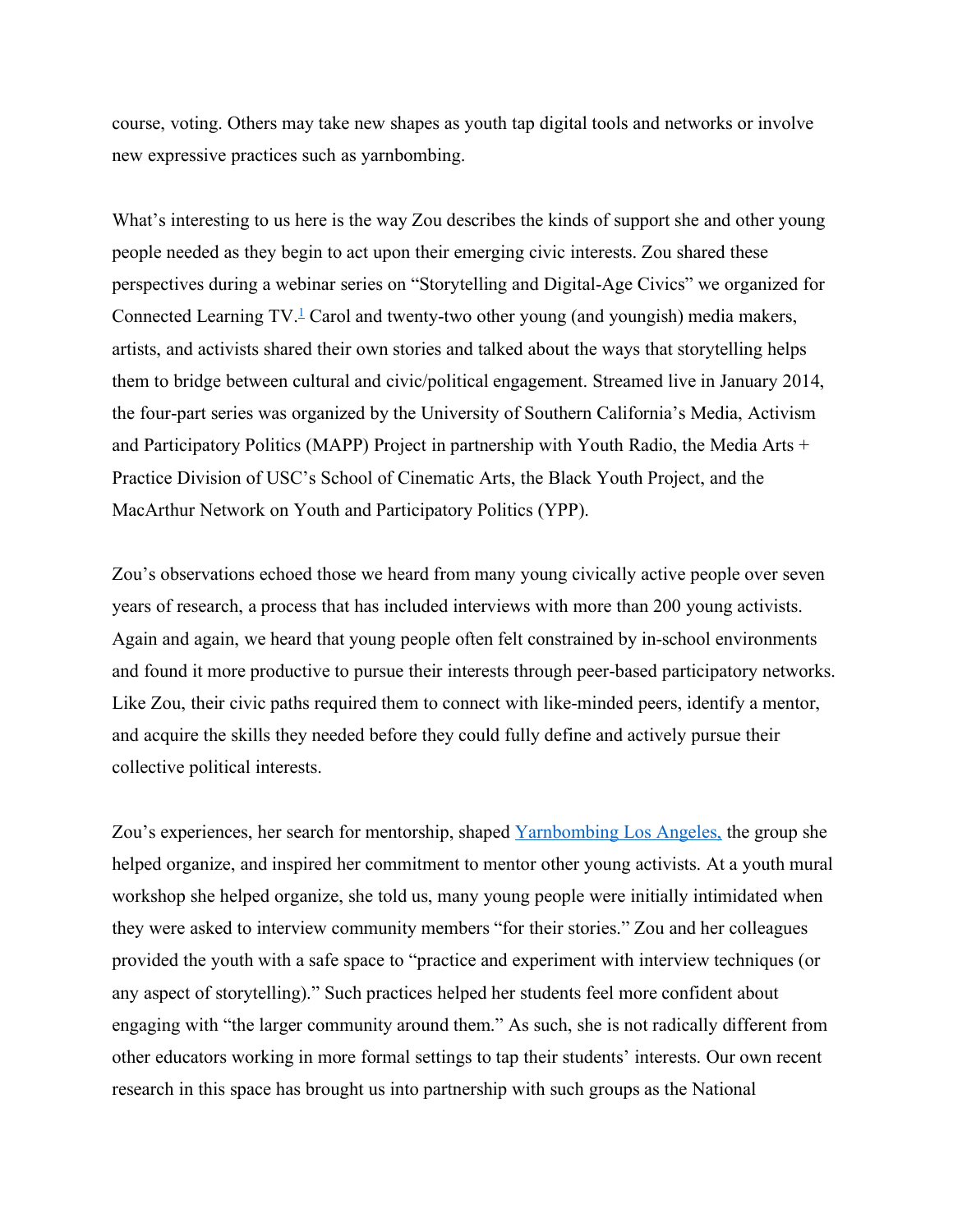course, voting. Others may take new shapes as youth tap digital tools and networks or involve new expressive practices such as yarnbombing.

What's interesting to us here is the way Zou describes the kinds of support she and other young people needed as they begin to act upon their emerging civic interests. Zou shared these perspectives during a webinar series on "Storytelling and Digital-Age Civics" we organized for Connected Learning  $TV$ <sup>1</sup> Carol and twenty-two other young (and youngish) media makers, artists, and activists shared their own stories and talked about the ways that storytelling helps them to bridge between cultural and civic/political engagement. Streamed live in January 2014, the four-part series was organized by the University of Southern California's Media, Activism and Participatory Politics (MAPP) Project in partnership with Youth Radio, the Media Arts + Practice Division of USC's School of Cinematic Arts, the Black Youth Project, and the MacArthur Network on Youth and Participatory Politics (YPP).

Zou's observations echoed those we heard from many young civically active people over seven years of research, a process that has included interviews with more than 200 young activists. Again and again, we heard that young people often felt constrained by in-school environments and found it more productive to pursue their interests through peer-based participatory networks. Like Zou, their civic paths required them to connect with like-minded peers, identify a mentor, and acquire the skills they needed before they could fully define and actively pursue their collective political interests.

Zou's experiences, her search for mentorship, shaped Yarnbombing Los Angeles, the group she helped organize, and inspired her commitment to mentor other young activists. At a youth mural workshop she helped organize, she told us, many young people were initially intimidated when they were asked to interview community members "for their stories." Zou and her colleagues provided the youth with a safe space to "practice and experiment with interview techniques (or any aspect of storytelling)." Such practices helped her students feel more confident about engaging with "the larger community around them." As such, she is not radically different from other educators working in more formal settings to tap their students' interests. Our own recent research in this space has brought us into partnership with such groups as the National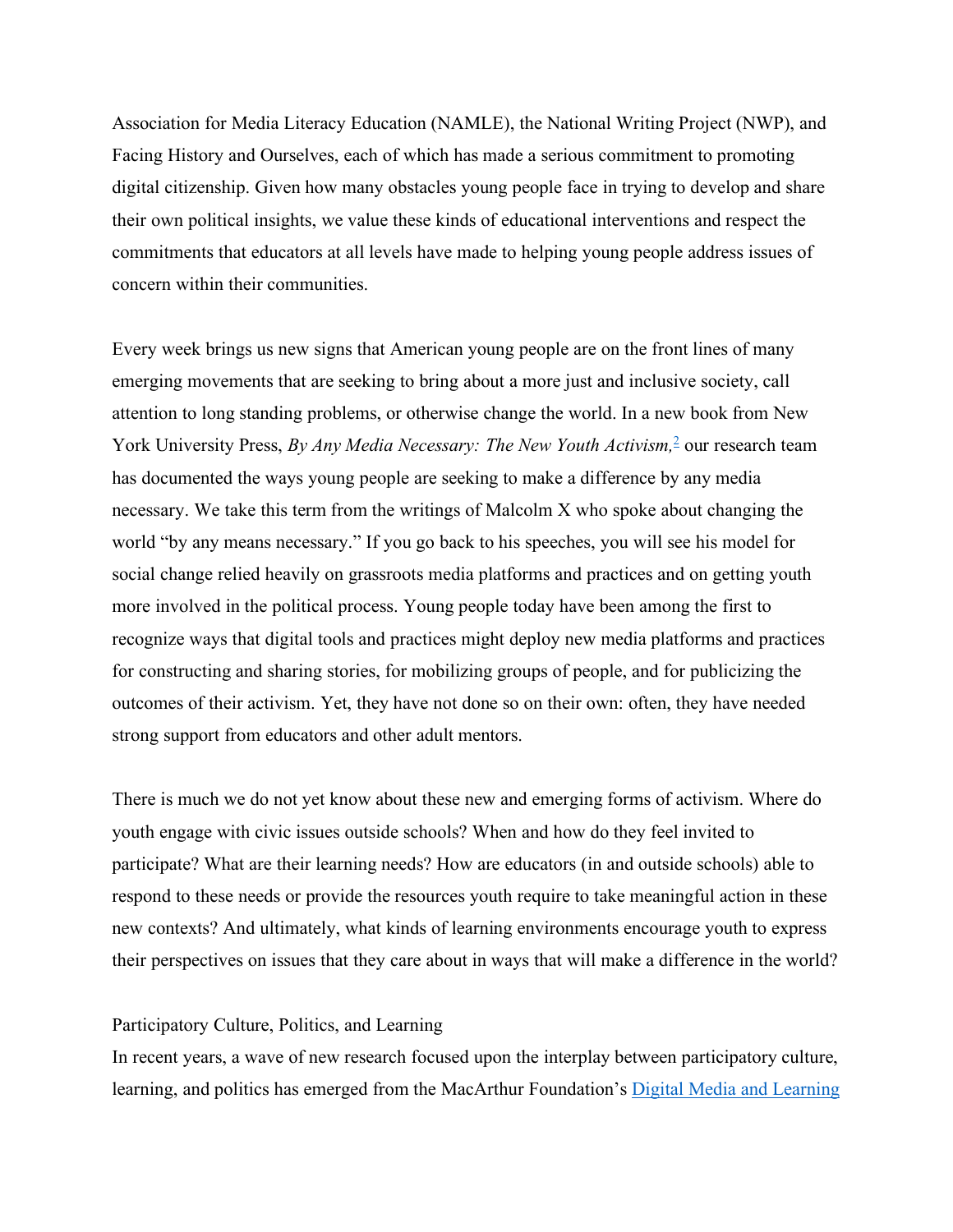Association for Media Literacy Education (NAMLE), the National Writing Project (NWP), and Facing History and Ourselves, each of which has made a serious commitment to promoting digital citizenship. Given how many obstacles young people face in trying to develop and share their own political insights, we value these kinds of educational interventions and respect the commitments that educators at all levels have made to helping young people address issues of concern within their communities.

Every week brings us new signs that American young people are on the front lines of many emerging movements that are seeking to bring about a more just and inclusive society, call attention to long standing problems, or otherwise change the world. In a new book from New York University Press, *By Any Media Necessary: The New Youth Activism*<sup>2</sup> our research team has documented the ways young people are seeking to make a difference by any media necessary. We take this term from the writings of Malcolm X who spoke about changing the world "by any means necessary." If you go back to his speeches, you will see his model for social change relied heavily on grassroots media platforms and practices and on getting youth more involved in the political process. Young people today have been among the first to recognize ways that digital tools and practices might deploy new media platforms and practices for constructing and sharing stories, for mobilizing groups of people, and for publicizing the outcomes of their activism. Yet, they have not done so on their own: often, they have needed strong support from educators and other adult mentors.

There is much we do not yet know about these new and emerging forms of activism. Where do youth engage with civic issues outside schools? When and how do they feel invited to participate? What are their learning needs? How are educators (in and outside schools) able to respond to these needs or provide the resources youth require to take meaningful action in these new contexts? And ultimately, what kinds of learning environments encourage youth to express their perspectives on issues that they care about in ways that will make a difference in the world?

## Participatory Culture, Politics, and Learning

In recent years, a wave of new research focused upon the interplay between participatory culture, learning, and politics has emerged from the MacArthur Foundation's Digital Media and Learning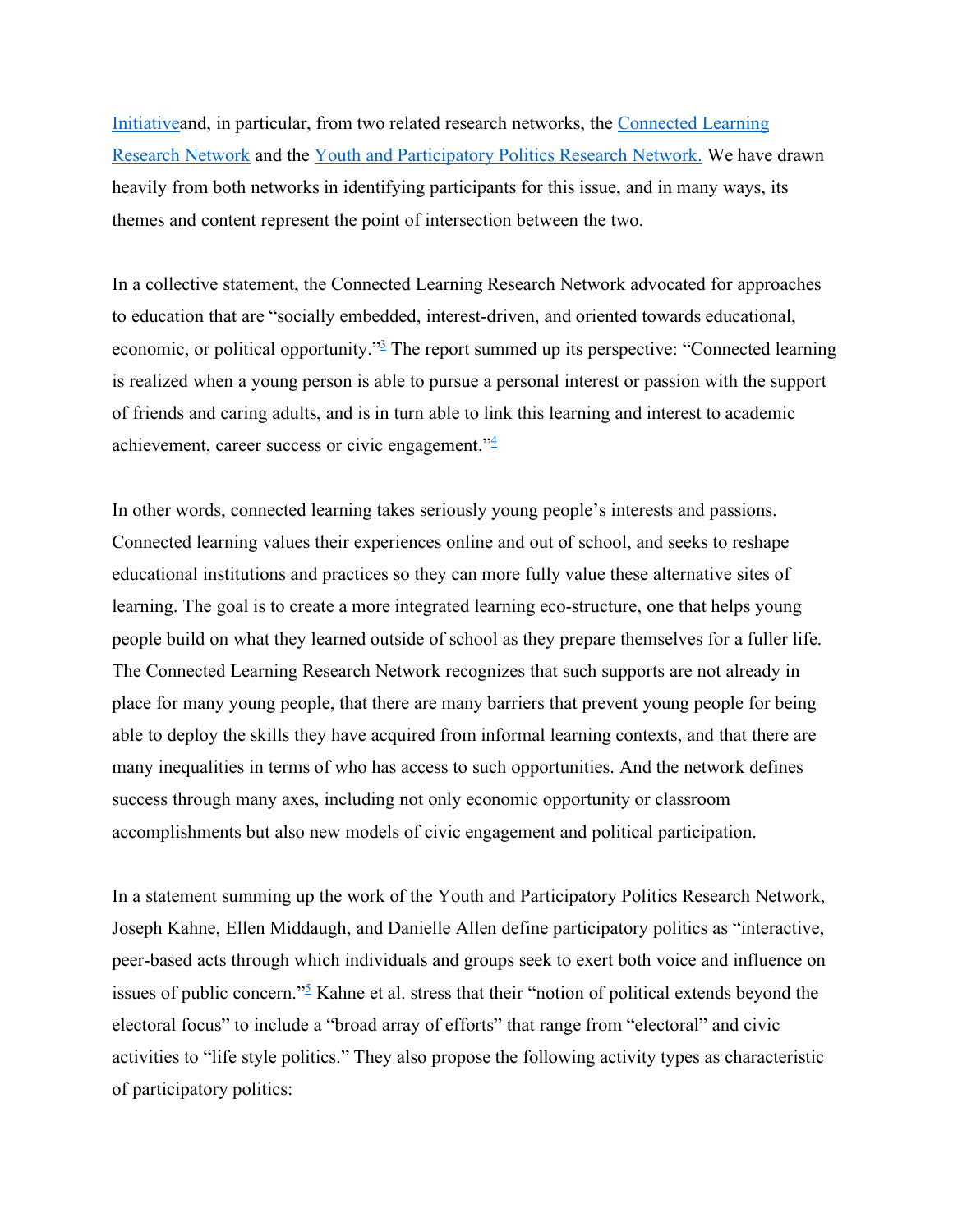Initiativeand, in particular, from two related research networks, the Connected Learning Research Network and the Youth and Participatory Politics Research Network. We have drawn heavily from both networks in identifying participants for this issue, and in many ways, its themes and content represent the point of intersection between the two.

In a collective statement, the Connected Learning Research Network advocated for approaches to education that are "socially embedded, interest-driven, and oriented towards educational, economic, or political opportunity."3 The report summed up its perspective: "Connected learning is realized when a young person is able to pursue a personal interest or passion with the support of friends and caring adults, and is in turn able to link this learning and interest to academic achievement, career success or civic engagement."4

In other words, connected learning takes seriously young people's interests and passions. Connected learning values their experiences online and out of school, and seeks to reshape educational institutions and practices so they can more fully value these alternative sites of learning. The goal is to create a more integrated learning eco-structure, one that helps young people build on what they learned outside of school as they prepare themselves for a fuller life. The Connected Learning Research Network recognizes that such supports are not already in place for many young people, that there are many barriers that prevent young people for being able to deploy the skills they have acquired from informal learning contexts, and that there are many inequalities in terms of who has access to such opportunities. And the network defines success through many axes, including not only economic opportunity or classroom accomplishments but also new models of civic engagement and political participation.

In a statement summing up the work of the Youth and Participatory Politics Research Network, Joseph Kahne, Ellen Middaugh, and Danielle Allen define participatory politics as "interactive, peer-based acts through which individuals and groups seek to exert both voice and influence on issues of public concern." $\frac{5}{2}$  Kahne et al. stress that their "notion of political extends beyond the electoral focus" to include a "broad array of efforts" that range from "electoral" and civic activities to "life style politics." They also propose the following activity types as characteristic of participatory politics: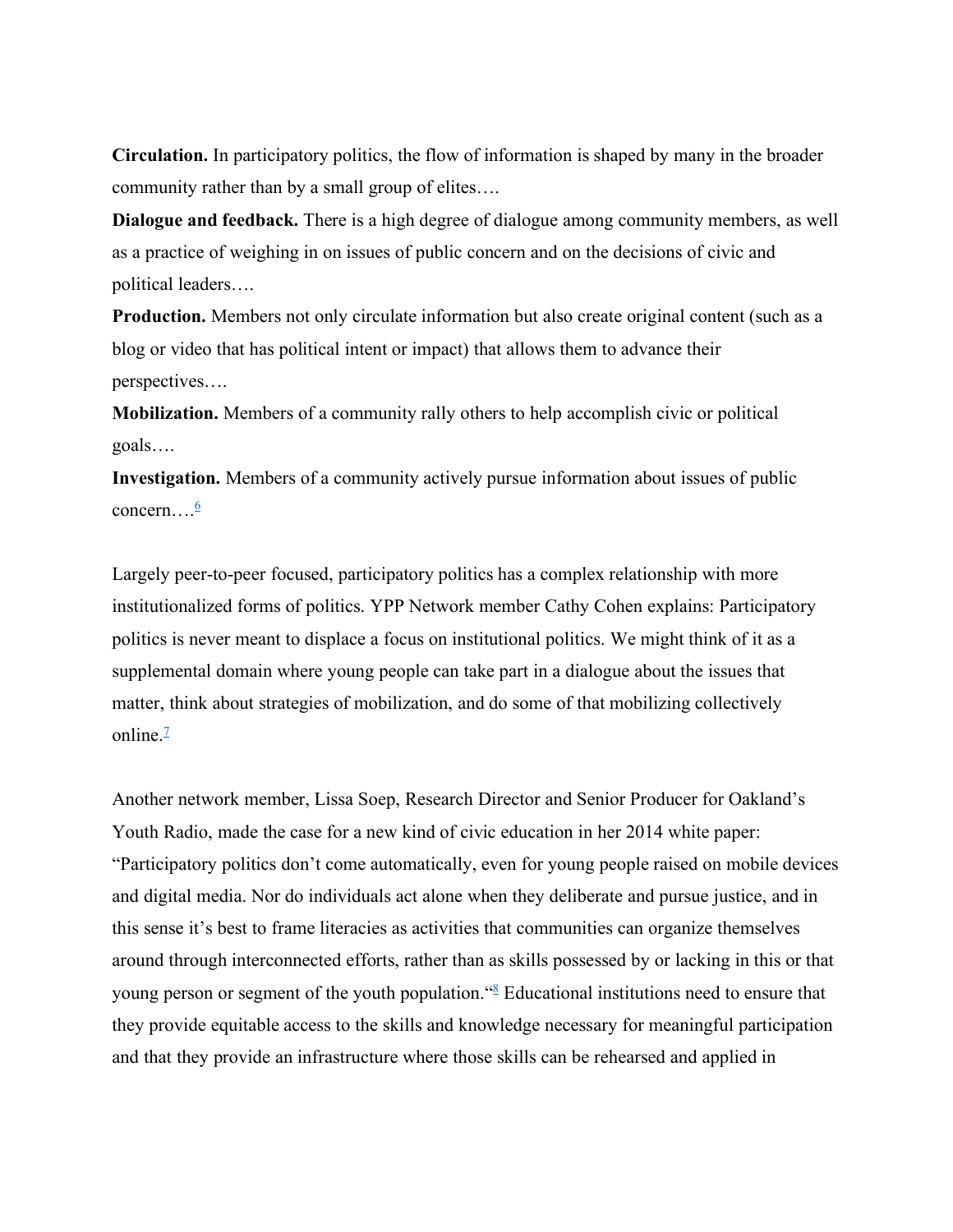**Circulation.** In participatory politics, the flow of information is shaped by many in the broader community rather than by a small group of elites….

**Dialogue and feedback.** There is a high degree of dialogue among community members, as well as a practice of weighing in on issues of public concern and on the decisions of civic and political leaders….

**Production.** Members not only circulate information but also create original content (such as a blog or video that has political intent or impact) that allows them to advance their perspectives….

**Mobilization.** Members of a community rally others to help accomplish civic or political goals….

**Investigation.** Members of a community actively pursue information about issues of public concern... $\frac{6}{5}$ 

Largely peer-to-peer focused, participatory politics has a complex relationship with more institutionalized forms of politics. YPP Network member Cathy Cohen explains: Participatory politics is never meant to displace a focus on institutional politics. We might think of it as a supplemental domain where young people can take part in a dialogue about the issues that matter, think about strategies of mobilization, and do some of that mobilizing collectively online. $\frac{7}{2}$ 

Another network member, Lissa Soep, Research Director and Senior Producer for Oakland's Youth Radio, made the case for a new kind of civic education in her 2014 white paper: "Participatory politics don't come automatically, even for young people raised on mobile devices and digital media. Nor do individuals act alone when they deliberate and pursue justice, and in this sense it's best to frame literacies as activities that communities can organize themselves around through interconnected efforts, rather than as skills possessed by or lacking in this or that young person or segment of the youth population."8 Educational institutions need to ensure that they provide equitable access to the skills and knowledge necessary for meaningful participation and that they provide an infrastructure where those skills can be rehearsed and applied in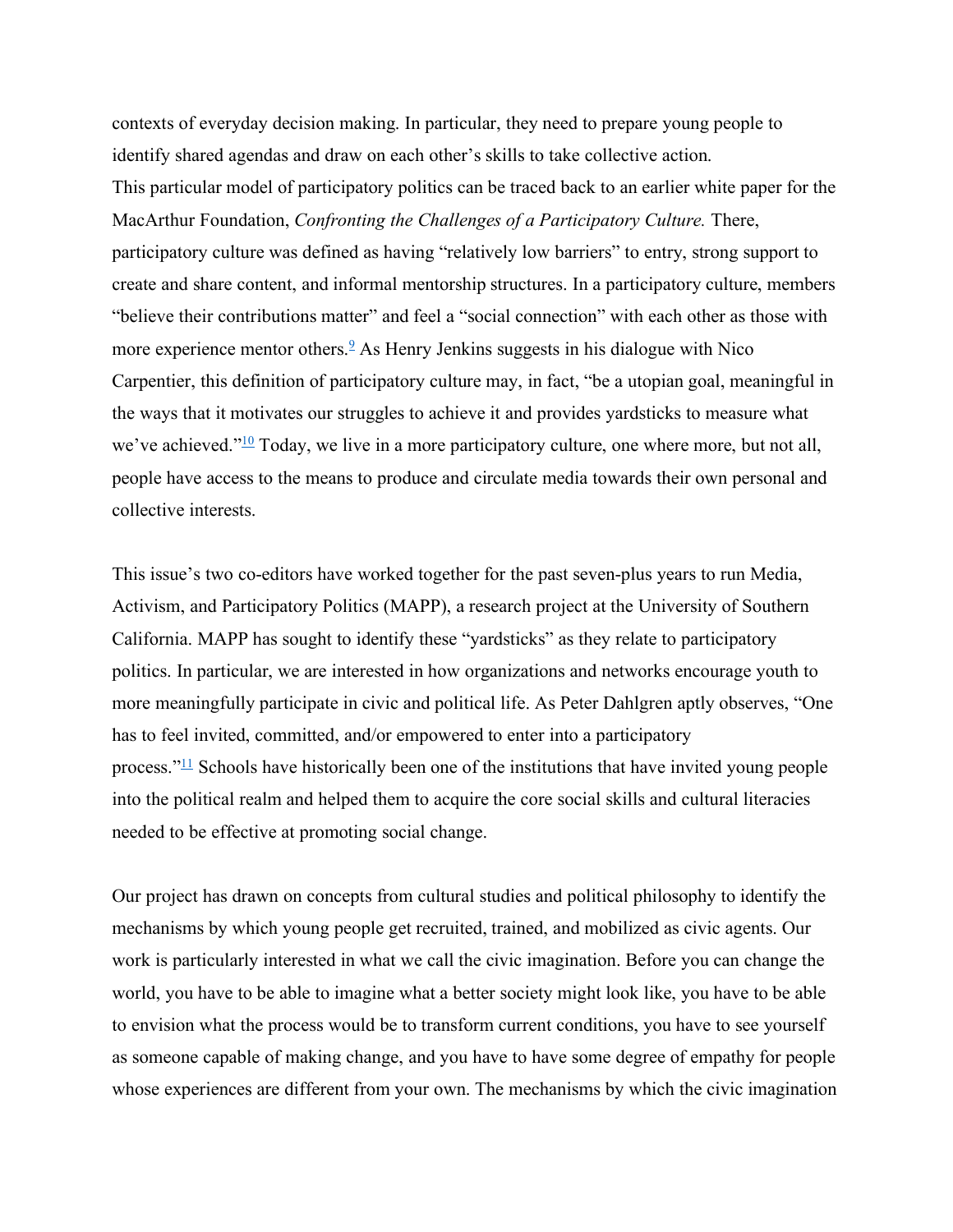contexts of everyday decision making. In particular, they need to prepare young people to identify shared agendas and draw on each other's skills to take collective action. This particular model of participatory politics can be traced back to an earlier white paper for the MacArthur Foundation, *Confronting the Challenges of a Participatory Culture.* There, participatory culture was defined as having "relatively low barriers" to entry, strong support to create and share content, and informal mentorship structures. In a participatory culture, members "believe their contributions matter" and feel a "social connection" with each other as those with more experience mentor others.<sup>9</sup> As Henry Jenkins suggests in his dialogue with Nico Carpentier, this definition of participatory culture may, in fact, "be a utopian goal, meaningful in the ways that it motivates our struggles to achieve it and provides yardsticks to measure what we've achieved." $\frac{10}{10}$  Today, we live in a more participatory culture, one where more, but not all, people have access to the means to produce and circulate media towards their own personal and collective interests.

This issue's two co-editors have worked together for the past seven-plus years to run Media, Activism, and Participatory Politics (MAPP), a research project at the University of Southern California. MAPP has sought to identify these "yardsticks" as they relate to participatory politics. In particular, we are interested in how organizations and networks encourage youth to more meaningfully participate in civic and political life. As Peter Dahlgren aptly observes, "One has to feel invited, committed, and/or empowered to enter into a participatory process." $\frac{11}{11}$  Schools have historically been one of the institutions that have invited young people into the political realm and helped them to acquire the core social skills and cultural literacies needed to be effective at promoting social change.

Our project has drawn on concepts from cultural studies and political philosophy to identify the mechanisms by which young people get recruited, trained, and mobilized as civic agents. Our work is particularly interested in what we call the civic imagination. Before you can change the world, you have to be able to imagine what a better society might look like, you have to be able to envision what the process would be to transform current conditions, you have to see yourself as someone capable of making change, and you have to have some degree of empathy for people whose experiences are different from your own. The mechanisms by which the civic imagination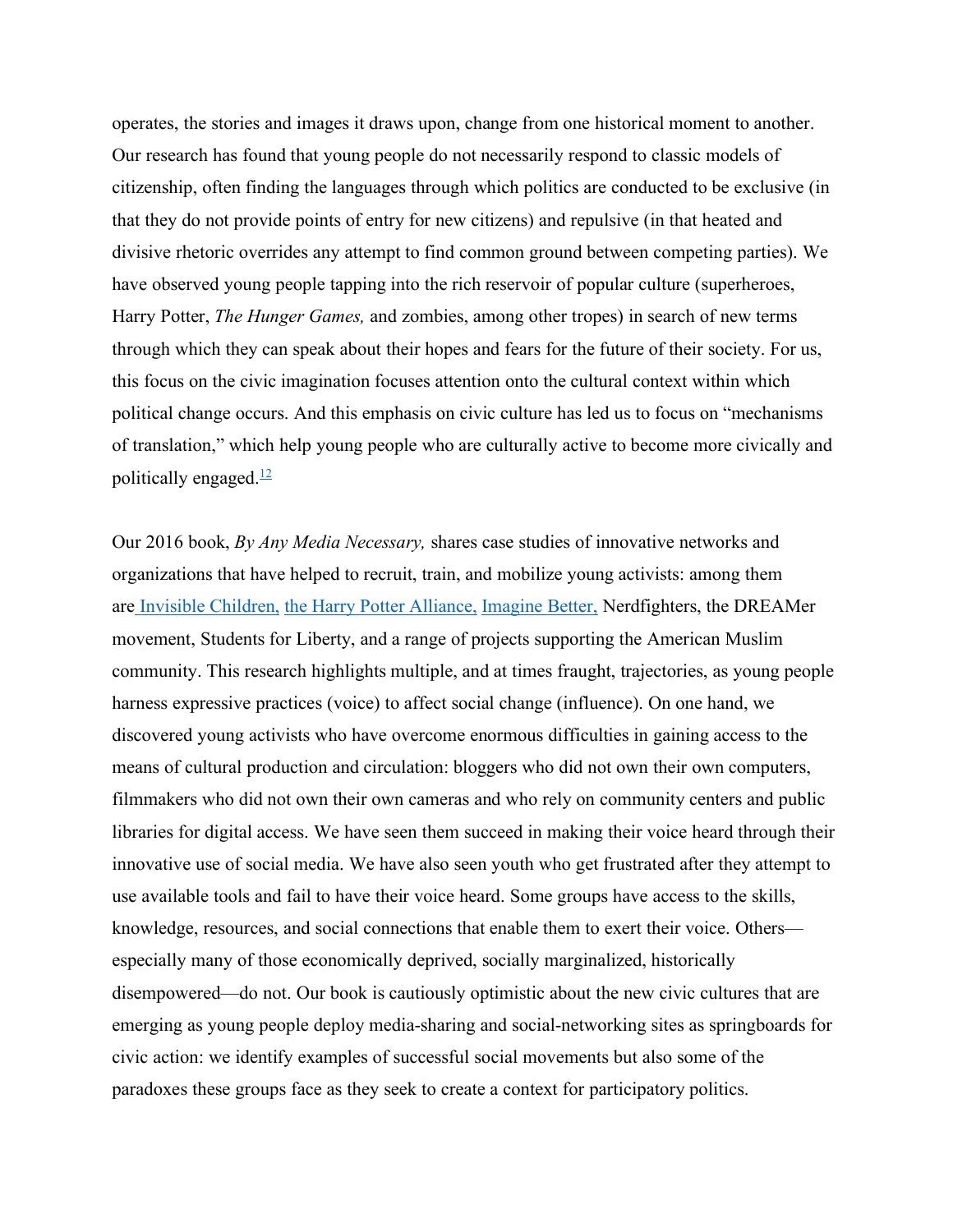operates, the stories and images it draws upon, change from one historical moment to another. Our research has found that young people do not necessarily respond to classic models of citizenship, often finding the languages through which politics are conducted to be exclusive (in that they do not provide points of entry for new citizens) and repulsive (in that heated and divisive rhetoric overrides any attempt to find common ground between competing parties). We have observed young people tapping into the rich reservoir of popular culture (superheroes, Harry Potter, *The Hunger Games,* and zombies, among other tropes) in search of new terms through which they can speak about their hopes and fears for the future of their society. For us, this focus on the civic imagination focuses attention onto the cultural context within which political change occurs. And this emphasis on civic culture has led us to focus on "mechanisms of translation," which help young people who are culturally active to become more civically and politically engaged. $\frac{12}{2}$ 

Our 2016 book, *By Any Media Necessary,* shares case studies of innovative networks and organizations that have helped to recruit, train, and mobilize young activists: among them are Invisible Children, the Harry Potter Alliance, Imagine Better, Nerdfighters, the DREAMer movement, Students for Liberty, and a range of projects supporting the American Muslim community. This research highlights multiple, and at times fraught, trajectories, as young people harness expressive practices (voice) to affect social change (influence). On one hand, we discovered young activists who have overcome enormous difficulties in gaining access to the means of cultural production and circulation: bloggers who did not own their own computers, filmmakers who did not own their own cameras and who rely on community centers and public libraries for digital access. We have seen them succeed in making their voice heard through their innovative use of social media. We have also seen youth who get frustrated after they attempt to use available tools and fail to have their voice heard. Some groups have access to the skills, knowledge, resources, and social connections that enable them to exert their voice. Others especially many of those economically deprived, socially marginalized, historically disempowered—do not. Our book is cautiously optimistic about the new civic cultures that are emerging as young people deploy media-sharing and social-networking sites as springboards for civic action: we identify examples of successful social movements but also some of the paradoxes these groups face as they seek to create a context for participatory politics.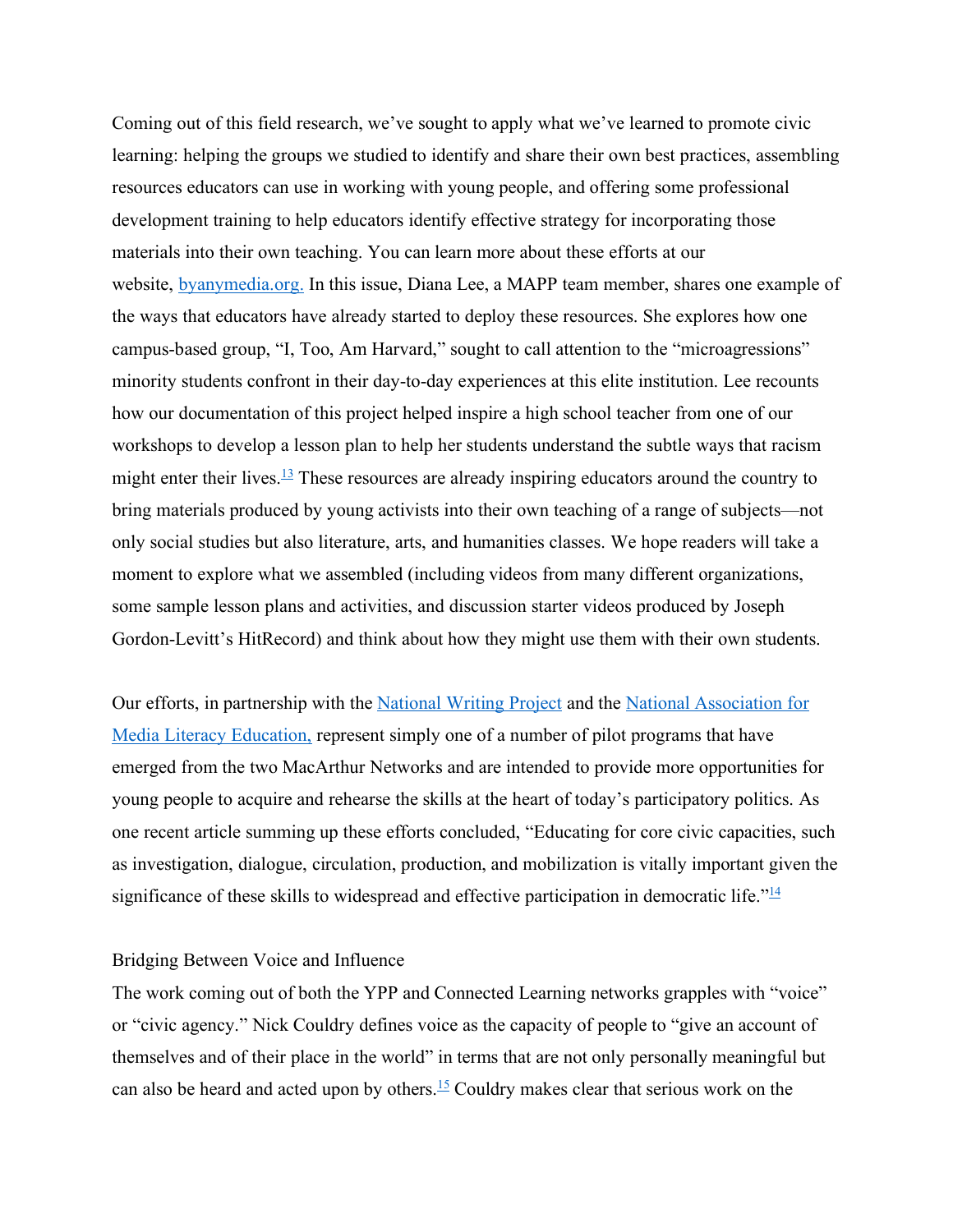Coming out of this field research, we've sought to apply what we've learned to promote civic learning: helping the groups we studied to identify and share their own best practices, assembling resources educators can use in working with young people, and offering some professional development training to help educators identify effective strategy for incorporating those materials into their own teaching. You can learn more about these efforts at our website, byanymedia.org. In this issue, Diana Lee, a MAPP team member, shares one example of the ways that educators have already started to deploy these resources. She explores how one campus-based group, "I, Too, Am Harvard," sought to call attention to the "microagressions" minority students confront in their day-to-day experiences at this elite institution. Lee recounts how our documentation of this project helped inspire a high school teacher from one of our workshops to develop a lesson plan to help her students understand the subtle ways that racism might enter their lives.<sup>13</sup> These resources are already inspiring educators around the country to bring materials produced by young activists into their own teaching of a range of subjects—not only social studies but also literature, arts, and humanities classes. We hope readers will take a moment to explore what we assembled (including videos from many different organizations, some sample lesson plans and activities, and discussion starter videos produced by Joseph Gordon-Levitt's HitRecord) and think about how they might use them with their own students.

Our efforts, in partnership with the National Writing Project and the National Association for Media Literacy Education, represent simply one of a number of pilot programs that have emerged from the two MacArthur Networks and are intended to provide more opportunities for young people to acquire and rehearse the skills at the heart of today's participatory politics. As one recent article summing up these efforts concluded, "Educating for core civic capacities, such as investigation, dialogue, circulation, production, and mobilization is vitally important given the significance of these skills to widespread and effective participation in democratic life.<sup> $14$ </sup>

# Bridging Between Voice and Influence

The work coming out of both the YPP and Connected Learning networks grapples with "voice" or "civic agency." Nick Couldry defines voice as the capacity of people to "give an account of themselves and of their place in the world" in terms that are not only personally meaningful but can also be heard and acted upon by others.<sup>15</sup> Couldry makes clear that serious work on the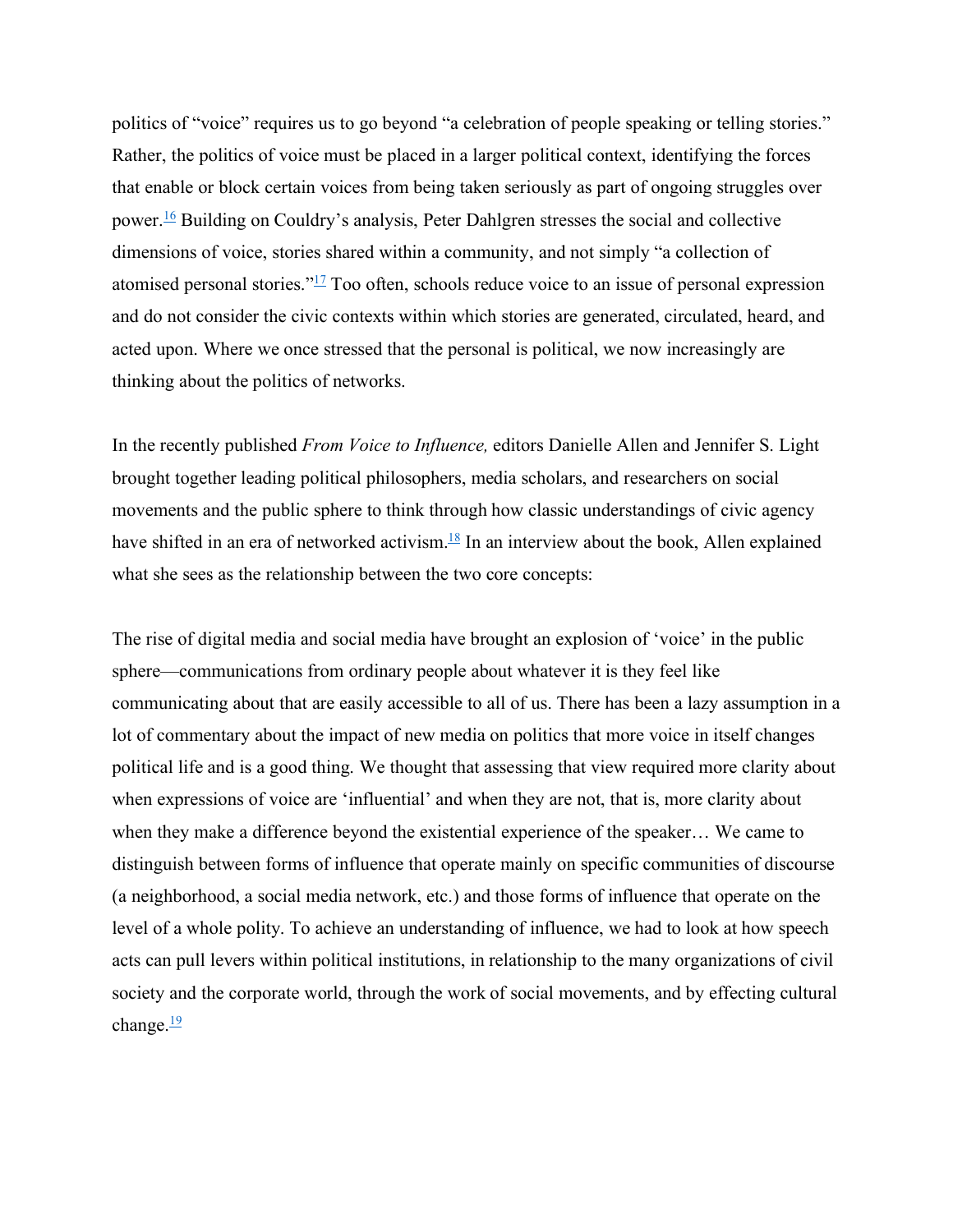politics of "voice" requires us to go beyond "a celebration of people speaking or telling stories." Rather, the politics of voice must be placed in a larger political context, identifying the forces that enable or block certain voices from being taken seriously as part of ongoing struggles over power.16 Building on Couldry's analysis, Peter Dahlgren stresses the social and collective dimensions of voice, stories shared within a community, and not simply "a collection of atomised personal stories."17 Too often, schools reduce voice to an issue of personal expression and do not consider the civic contexts within which stories are generated, circulated, heard, and acted upon. Where we once stressed that the personal is political, we now increasingly are thinking about the politics of networks.

In the recently published *From Voice to Influence,* editors Danielle Allen and Jennifer S. Light brought together leading political philosophers, media scholars, and researchers on social movements and the public sphere to think through how classic understandings of civic agency have shifted in an era of networked activism. $18 \text{ In an interview about the book, Allen explained}$ what she sees as the relationship between the two core concepts:

The rise of digital media and social media have brought an explosion of 'voice' in the public sphere—communications from ordinary people about whatever it is they feel like communicating about that are easily accessible to all of us. There has been a lazy assumption in a lot of commentary about the impact of new media on politics that more voice in itself changes political life and is a good thing. We thought that assessing that view required more clarity about when expressions of voice are 'influential' and when they are not, that is, more clarity about when they make a difference beyond the existential experience of the speaker… We came to distinguish between forms of influence that operate mainly on specific communities of discourse (a neighborhood, a social media network, etc.) and those forms of influence that operate on the level of a whole polity. To achieve an understanding of influence, we had to look at how speech acts can pull levers within political institutions, in relationship to the many organizations of civil society and the corporate world, through the work of social movements, and by effecting cultural change. $\frac{19}{2}$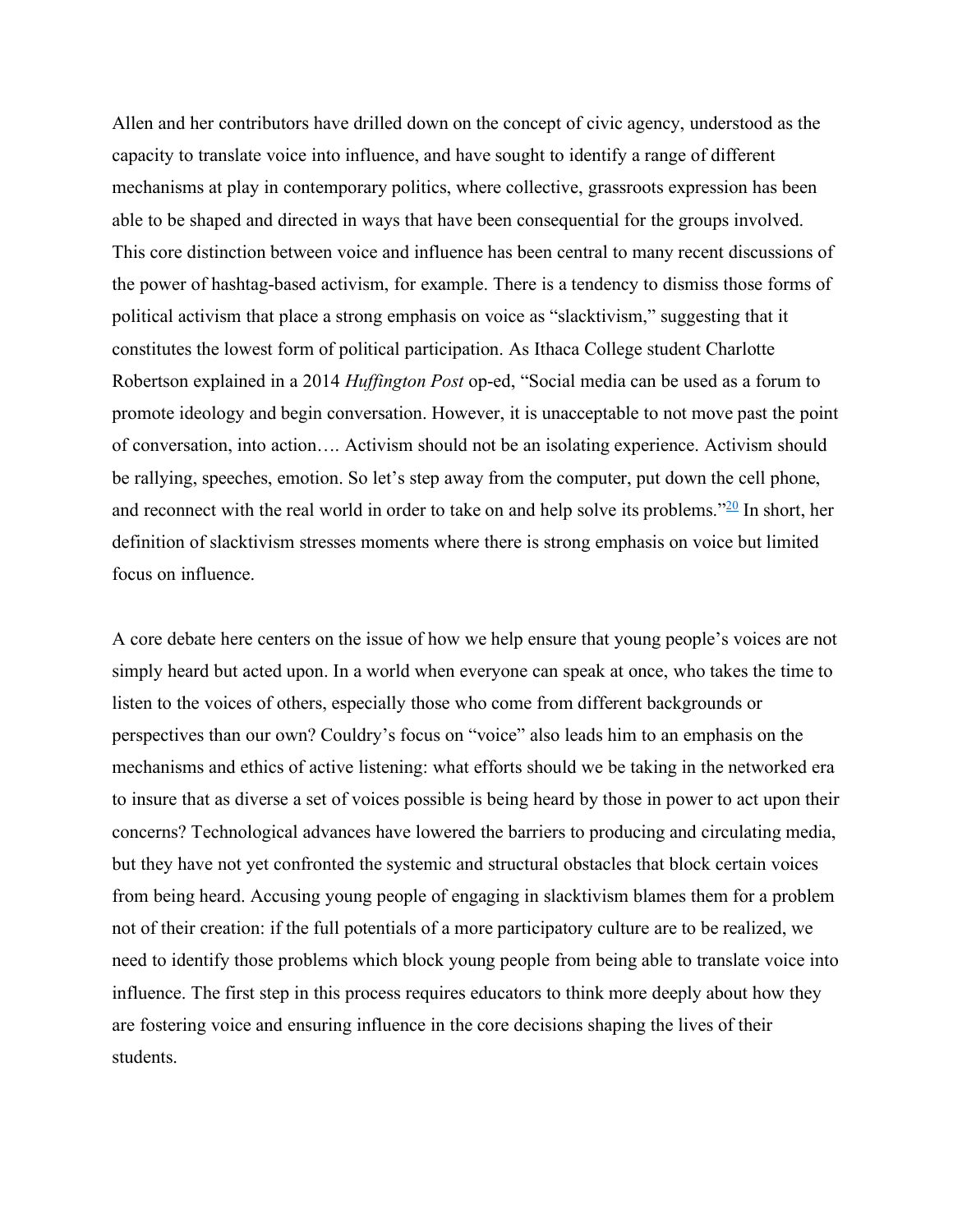Allen and her contributors have drilled down on the concept of civic agency, understood as the capacity to translate voice into influence, and have sought to identify a range of different mechanisms at play in contemporary politics, where collective, grassroots expression has been able to be shaped and directed in ways that have been consequential for the groups involved. This core distinction between voice and influence has been central to many recent discussions of the power of hashtag-based activism, for example. There is a tendency to dismiss those forms of political activism that place a strong emphasis on voice as "slacktivism," suggesting that it constitutes the lowest form of political participation. As Ithaca College student Charlotte Robertson explained in a 2014 *Huffington Post* op-ed, "Social media can be used as a forum to promote ideology and begin conversation. However, it is unacceptable to not move past the point of conversation, into action…. Activism should not be an isolating experience. Activism should be rallying, speeches, emotion. So let's step away from the computer, put down the cell phone, and reconnect with the real world in order to take on and help solve its problems." $20$  In short, her definition of slacktivism stresses moments where there is strong emphasis on voice but limited focus on influence.

A core debate here centers on the issue of how we help ensure that young people's voices are not simply heard but acted upon. In a world when everyone can speak at once, who takes the time to listen to the voices of others, especially those who come from different backgrounds or perspectives than our own? Couldry's focus on "voice" also leads him to an emphasis on the mechanisms and ethics of active listening: what efforts should we be taking in the networked era to insure that as diverse a set of voices possible is being heard by those in power to act upon their concerns? Technological advances have lowered the barriers to producing and circulating media, but they have not yet confronted the systemic and structural obstacles that block certain voices from being heard. Accusing young people of engaging in slacktivism blames them for a problem not of their creation: if the full potentials of a more participatory culture are to be realized, we need to identify those problems which block young people from being able to translate voice into influence. The first step in this process requires educators to think more deeply about how they are fostering voice and ensuring influence in the core decisions shaping the lives of their students.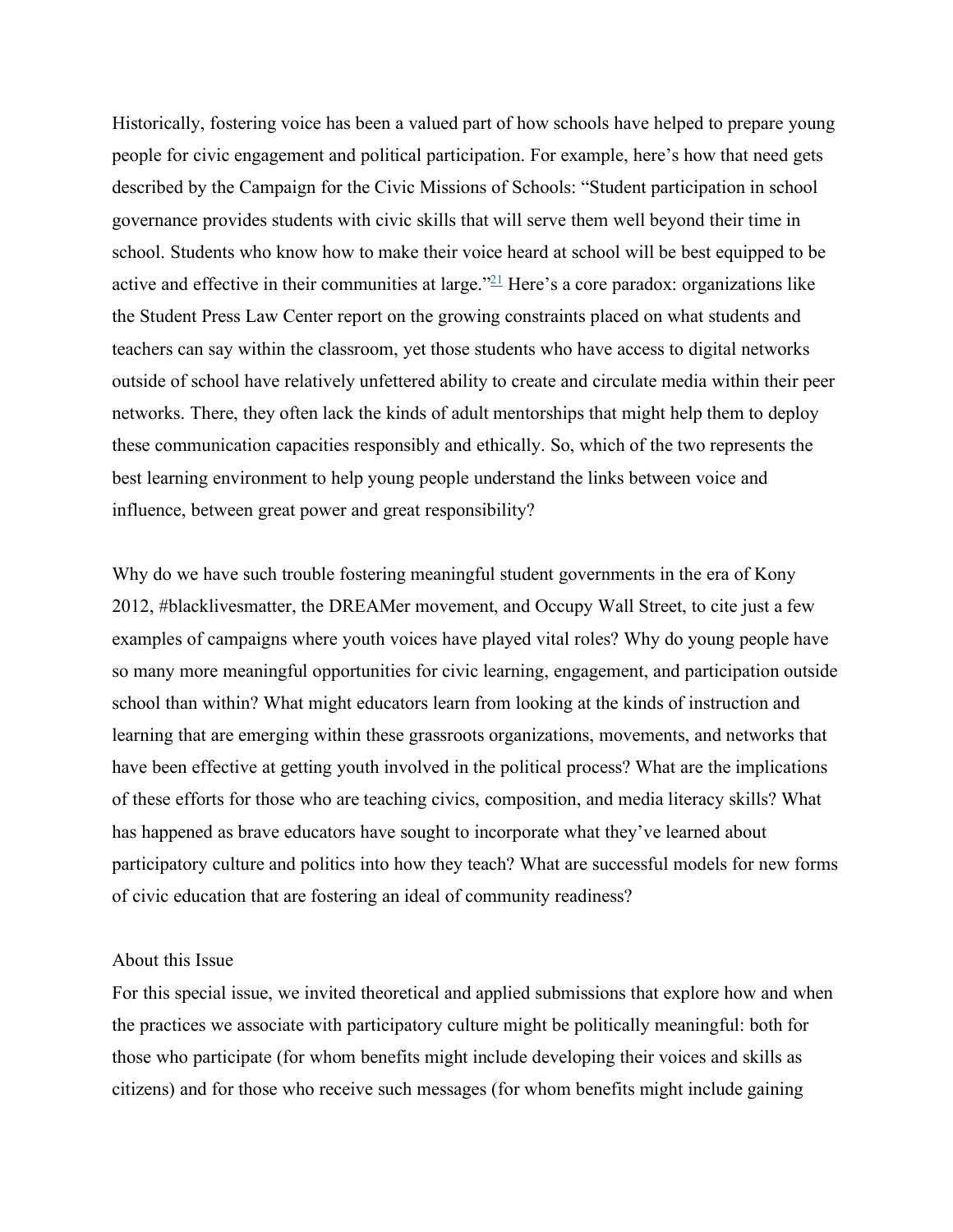Historically, fostering voice has been a valued part of how schools have helped to prepare young people for civic engagement and political participation. For example, here's how that need gets described by the Campaign for the Civic Missions of Schools: "Student participation in school governance provides students with civic skills that will serve them well beyond their time in school. Students who know how to make their voice heard at school will be best equipped to be active and effective in their communities at large." $21$  Here's a core paradox: organizations like the Student Press Law Center report on the growing constraints placed on what students and teachers can say within the classroom, yet those students who have access to digital networks outside of school have relatively unfettered ability to create and circulate media within their peer networks. There, they often lack the kinds of adult mentorships that might help them to deploy these communication capacities responsibly and ethically. So, which of the two represents the best learning environment to help young people understand the links between voice and influence, between great power and great responsibility?

Why do we have such trouble fostering meaningful student governments in the era of Kony 2012, #blacklivesmatter, the DREAMer movement, and Occupy Wall Street, to cite just a few examples of campaigns where youth voices have played vital roles? Why do young people have so many more meaningful opportunities for civic learning, engagement, and participation outside school than within? What might educators learn from looking at the kinds of instruction and learning that are emerging within these grassroots organizations, movements, and networks that have been effective at getting youth involved in the political process? What are the implications of these efforts for those who are teaching civics, composition, and media literacy skills? What has happened as brave educators have sought to incorporate what they've learned about participatory culture and politics into how they teach? What are successful models for new forms of civic education that are fostering an ideal of community readiness?

#### About this Issue

For this special issue, we invited theoretical and applied submissions that explore how and when the practices we associate with participatory culture might be politically meaningful: both for those who participate (for whom benefits might include developing their voices and skills as citizens) and for those who receive such messages (for whom benefits might include gaining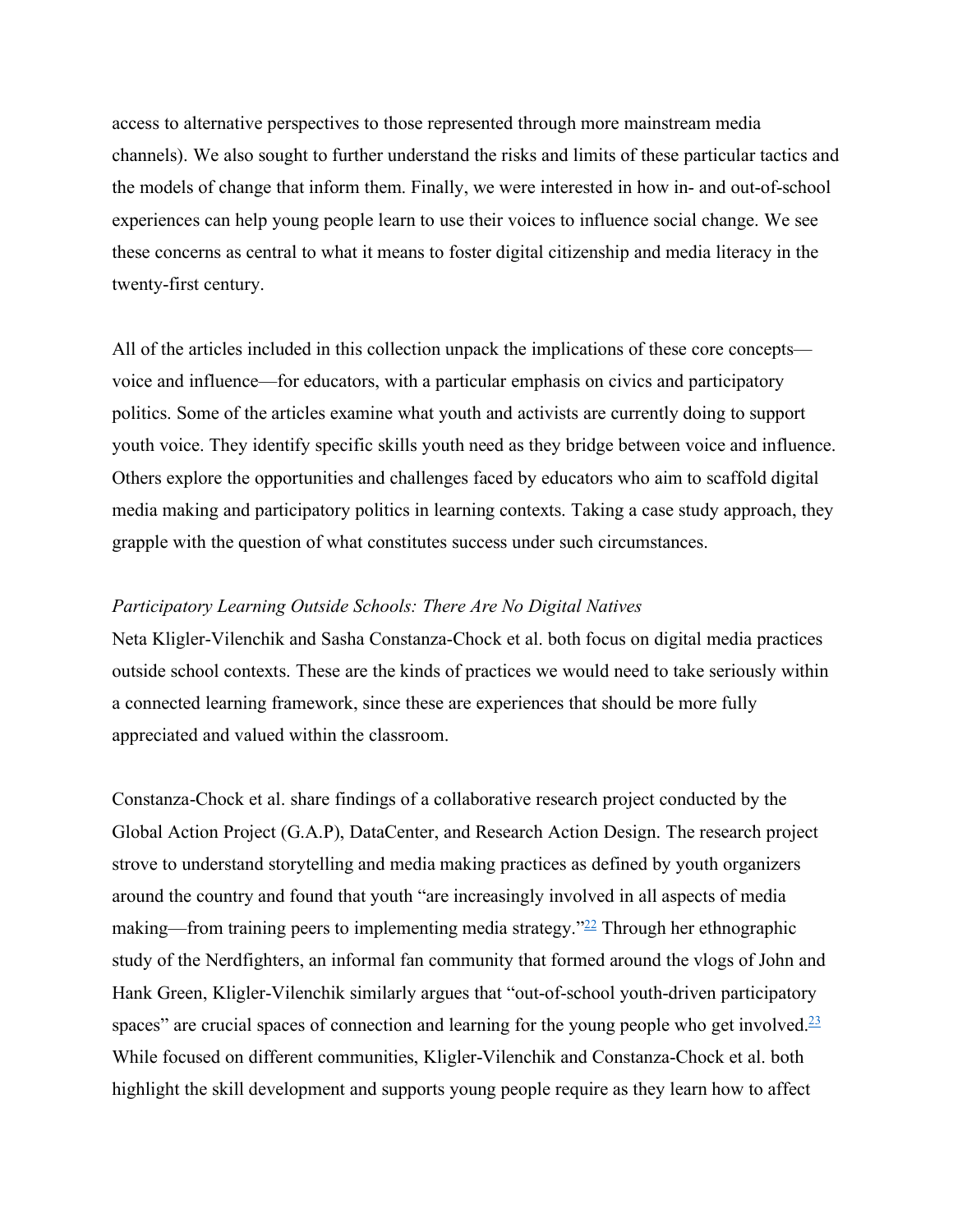access to alternative perspectives to those represented through more mainstream media channels). We also sought to further understand the risks and limits of these particular tactics and the models of change that inform them. Finally, we were interested in how in- and out-of-school experiences can help young people learn to use their voices to influence social change. We see these concerns as central to what it means to foster digital citizenship and media literacy in the twenty-first century.

All of the articles included in this collection unpack the implications of these core concepts voice and influence—for educators, with a particular emphasis on civics and participatory politics. Some of the articles examine what youth and activists are currently doing to support youth voice. They identify specific skills youth need as they bridge between voice and influence. Others explore the opportunities and challenges faced by educators who aim to scaffold digital media making and participatory politics in learning contexts. Taking a case study approach, they grapple with the question of what constitutes success under such circumstances.

## *Participatory Learning Outside Schools: There Are No Digital Natives*

Neta Kligler-Vilenchik and Sasha Constanza-Chock et al. both focus on digital media practices outside school contexts. These are the kinds of practices we would need to take seriously within a connected learning framework, since these are experiences that should be more fully appreciated and valued within the classroom.

Constanza-Chock et al. share findings of a collaborative research project conducted by the Global Action Project (G.A.P), DataCenter, and Research Action Design. The research project strove to understand storytelling and media making practices as defined by youth organizers around the country and found that youth "are increasingly involved in all aspects of media making—from training peers to implementing media strategy." $^{22}$  Through her ethnographic study of the Nerdfighters, an informal fan community that formed around the vlogs of John and Hank Green, Kligler-Vilenchik similarly argues that "out-of-school youth-driven participatory spaces" are crucial spaces of connection and learning for the young people who get involved. $23$ While focused on different communities, Kligler-Vilenchik and Constanza-Chock et al. both highlight the skill development and supports young people require as they learn how to affect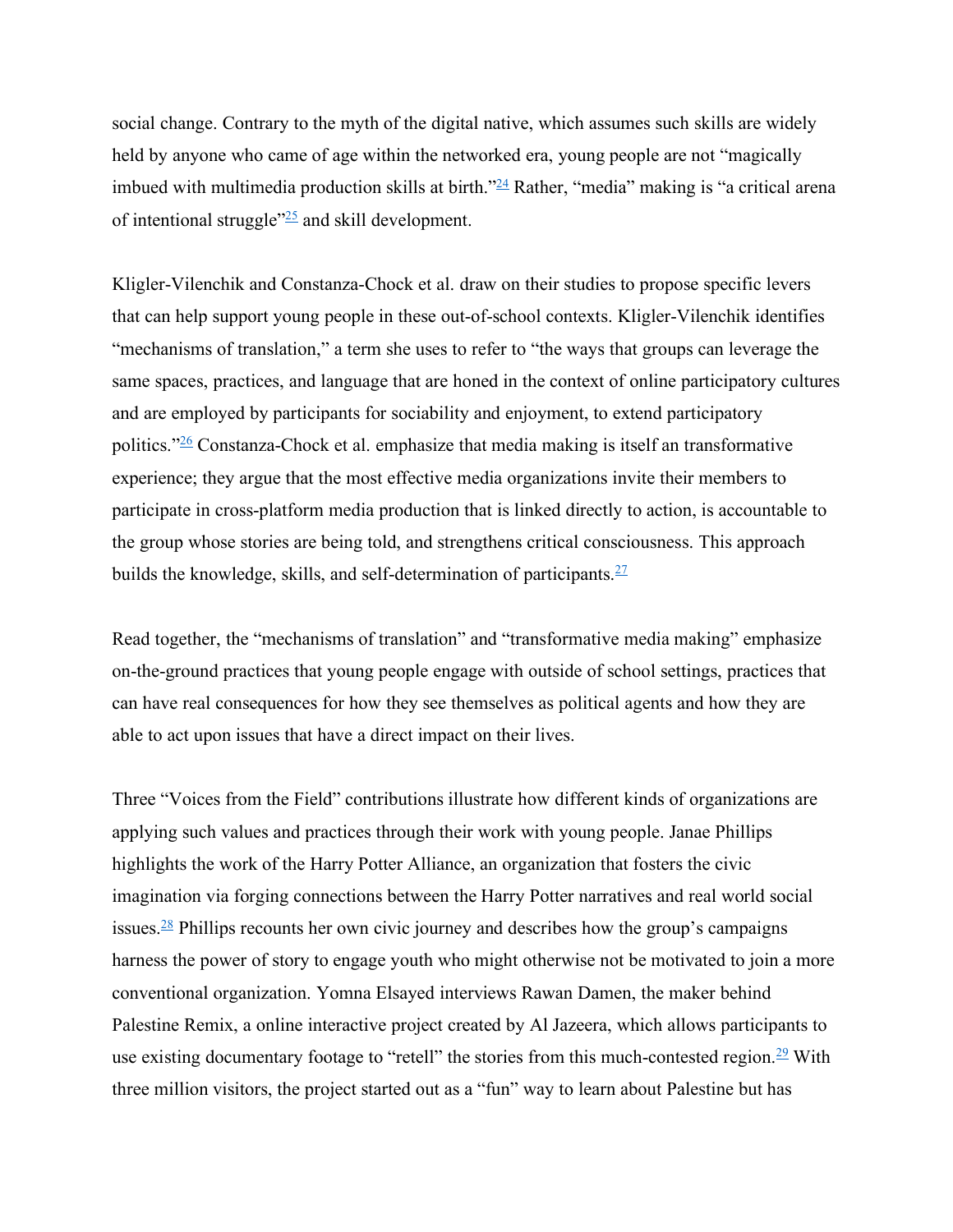social change. Contrary to the myth of the digital native, which assumes such skills are widely held by anyone who came of age within the networked era, young people are not "magically imbued with multimedia production skills at birth.<sup>324</sup> Rather, "media" making is "a critical arena of intentional struggle"25 and skill development.

Kligler-Vilenchik and Constanza-Chock et al. draw on their studies to propose specific levers that can help support young people in these out-of-school contexts. Kligler-Vilenchik identifies "mechanisms of translation," a term she uses to refer to "the ways that groups can leverage the same spaces, practices, and language that are honed in the context of online participatory cultures and are employed by participants for sociability and enjoyment, to extend participatory politics."26 Constanza-Chock et al. emphasize that media making is itself an transformative experience; they argue that the most effective media organizations invite their members to participate in cross-platform media production that is linked directly to action, is accountable to the group whose stories are being told, and strengthens critical consciousness. This approach builds the knowledge, skills, and self-determination of participants.  $27$ 

Read together, the "mechanisms of translation" and "transformative media making" emphasize on-the-ground practices that young people engage with outside of school settings, practices that can have real consequences for how they see themselves as political agents and how they are able to act upon issues that have a direct impact on their lives.

Three "Voices from the Field" contributions illustrate how different kinds of organizations are applying such values and practices through their work with young people. Janae Phillips highlights the work of the Harry Potter Alliance, an organization that fosters the civic imagination via forging connections between the Harry Potter narratives and real world social issues. <sup>28</sup> Phillips recounts her own civic journey and describes how the group's campaigns harness the power of story to engage youth who might otherwise not be motivated to join a more conventional organization. Yomna Elsayed interviews Rawan Damen, the maker behind Palestine Remix, a online interactive project created by Al Jazeera, which allows participants to use existing documentary footage to "retell" the stories from this much-contested region.<sup>29</sup> With three million visitors, the project started out as a "fun" way to learn about Palestine but has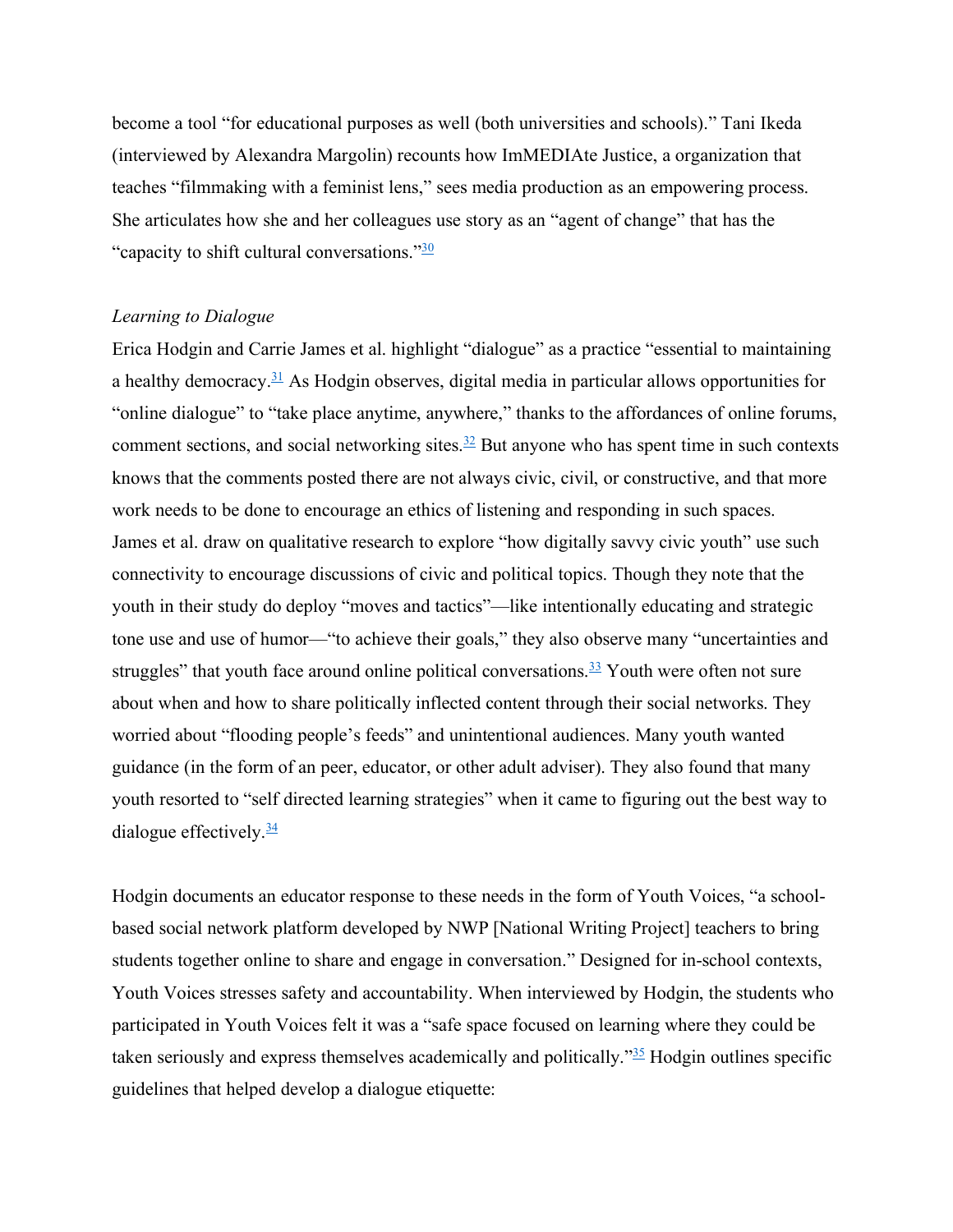become a tool "for educational purposes as well (both universities and schools)." Tani Ikeda (interviewed by Alexandra Margolin) recounts how ImMEDIAte Justice, a organization that teaches "filmmaking with a feminist lens," sees media production as an empowering process. She articulates how she and her colleagues use story as an "agent of change" that has the "capacity to shift cultural conversations." $\frac{30}{20}$ 

#### *Learning to Dialogue*

Erica Hodgin and Carrie James et al. highlight "dialogue" as a practice "essential to maintaining a healthy democracy.<sup>31</sup> As Hodgin observes, digital media in particular allows opportunities for "online dialogue" to "take place anytime, anywhere," thanks to the affordances of online forums, comment sections, and social networking sites. $\frac{32}{2}$  But anyone who has spent time in such contexts knows that the comments posted there are not always civic, civil, or constructive, and that more work needs to be done to encourage an ethics of listening and responding in such spaces. James et al. draw on qualitative research to explore "how digitally savvy civic youth" use such connectivity to encourage discussions of civic and political topics. Though they note that the youth in their study do deploy "moves and tactics"—like intentionally educating and strategic tone use and use of humor—"to achieve their goals," they also observe many "uncertainties and struggles" that youth face around online political conversations. $\frac{33}{2}$  Youth were often not sure about when and how to share politically inflected content through their social networks. They worried about "flooding people's feeds" and unintentional audiences. Many youth wanted guidance (in the form of an peer, educator, or other adult adviser). They also found that many youth resorted to "self directed learning strategies" when it came to figuring out the best way to dialogue effectively. $\frac{34}{3}$ 

Hodgin documents an educator response to these needs in the form of Youth Voices, "a schoolbased social network platform developed by NWP [National Writing Project] teachers to bring students together online to share and engage in conversation." Designed for in-school contexts, Youth Voices stresses safety and accountability. When interviewed by Hodgin, the students who participated in Youth Voices felt it was a "safe space focused on learning where they could be taken seriously and express themselves academically and politically.<sup> $\frac{355}{2}$ </sup> Hodgin outlines specific guidelines that helped develop a dialogue etiquette: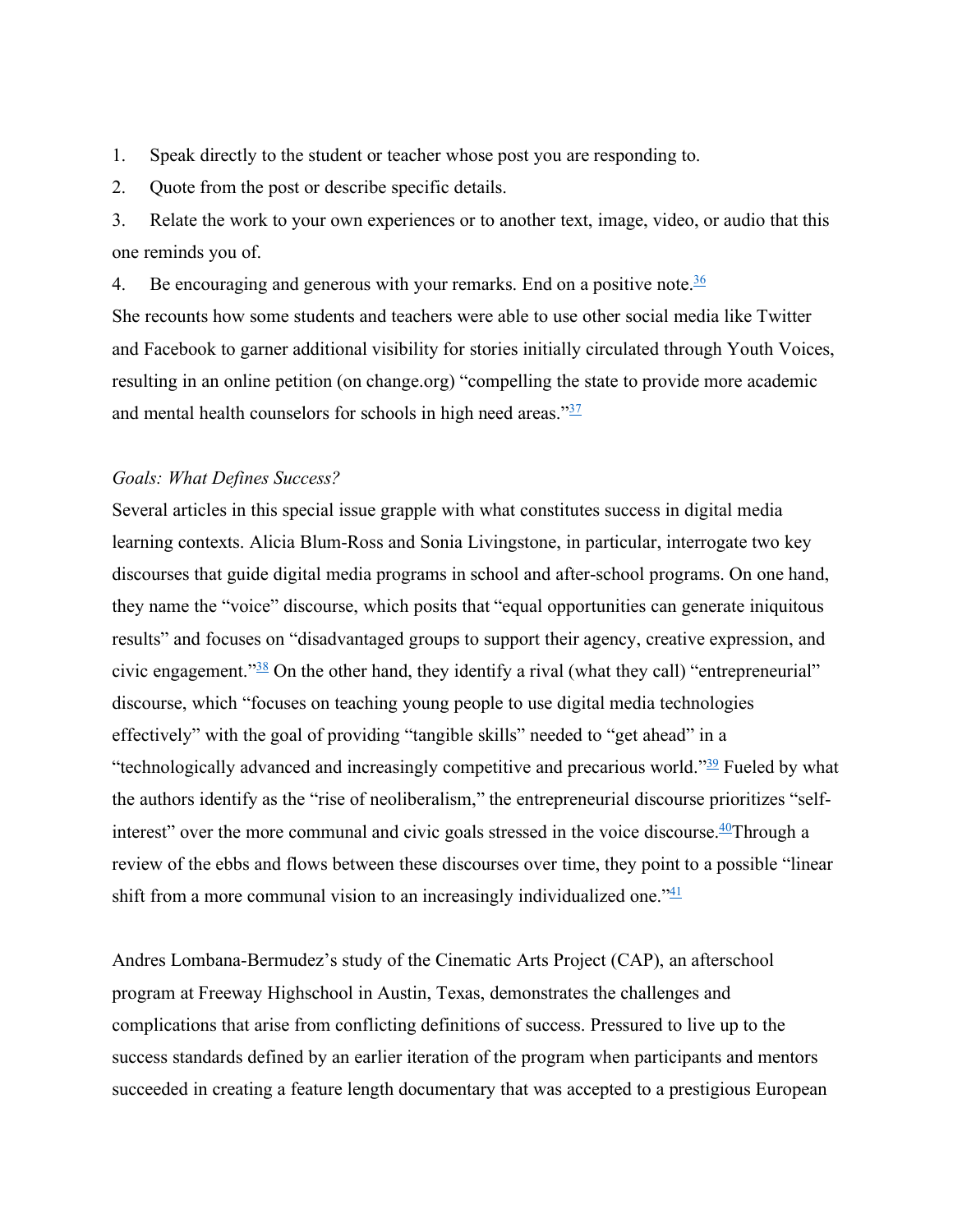1. Speak directly to the student or teacher whose post you are responding to.

2. Quote from the post or describe specific details.

3. Relate the work to your own experiences or to another text, image, video, or audio that this one reminds you of.

4. Be encouraging and generous with your remarks. End on a positive note.  $\frac{36}{5}$ She recounts how some students and teachers were able to use other social media like Twitter and Facebook to garner additional visibility for stories initially circulated through Youth Voices, resulting in an online petition (on change.org) "compelling the state to provide more academic and mental health counselors for schools in high need areas." $\frac{37}{27}$ 

# *Goals: What Defines Success?*

Several articles in this special issue grapple with what constitutes success in digital media learning contexts. Alicia Blum-Ross and Sonia Livingstone, in particular, interrogate two key discourses that guide digital media programs in school and after-school programs. On one hand, they name the "voice" discourse, which posits that "equal opportunities can generate iniquitous results" and focuses on "disadvantaged groups to support their agency, creative expression, and civic engagement." $\frac{38}{38}$  On the other hand, they identify a rival (what they call) "entrepreneurial" discourse, which "focuses on teaching young people to use digital media technologies effectively" with the goal of providing "tangible skills" needed to "get ahead" in a "technologically advanced and increasingly competitive and precarious world." $\frac{39}{2}$  Fueled by what the authors identify as the "rise of neoliberalism," the entrepreneurial discourse prioritizes "selfinterest" over the more communal and civic goals stressed in the voice discourse. $40$ Through a review of the ebbs and flows between these discourses over time, they point to a possible "linear shift from a more communal vision to an increasingly individualized one.<sup> $14$ </sup>

Andres Lombana-Bermudez's study of the Cinematic Arts Project (CAP), an afterschool program at Freeway Highschool in Austin, Texas, demonstrates the challenges and complications that arise from conflicting definitions of success. Pressured to live up to the success standards defined by an earlier iteration of the program when participants and mentors succeeded in creating a feature length documentary that was accepted to a prestigious European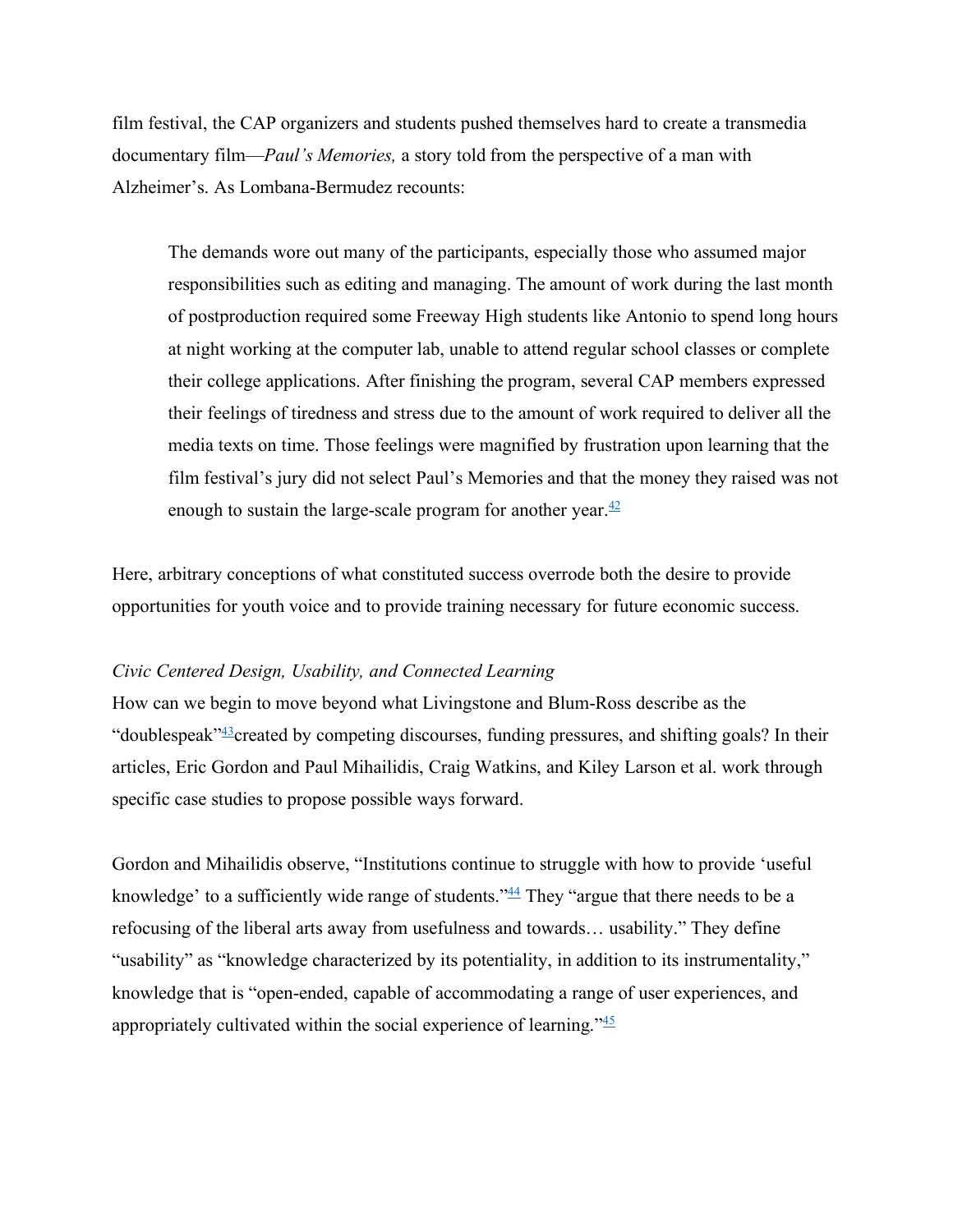film festival, the CAP organizers and students pushed themselves hard to create a transmedia documentary film—*Paul's Memories,* a story told from the perspective of a man with Alzheimer's. As Lombana-Bermudez recounts:

The demands wore out many of the participants, especially those who assumed major responsibilities such as editing and managing. The amount of work during the last month of postproduction required some Freeway High students like Antonio to spend long hours at night working at the computer lab, unable to attend regular school classes or complete their college applications. After finishing the program, several CAP members expressed their feelings of tiredness and stress due to the amount of work required to deliver all the media texts on time. Those feelings were magnified by frustration upon learning that the film festival's jury did not select Paul's Memories and that the money they raised was not enough to sustain the large-scale program for another year. $\frac{42}{5}$ 

Here, arbitrary conceptions of what constituted success overrode both the desire to provide opportunities for youth voice and to provide training necessary for future economic success.

#### *Civic Centered Design, Usability, and Connected Learning*

How can we begin to move beyond what Livingstone and Blum-Ross describe as the "doublespeak" $43$ created by competing discourses, funding pressures, and shifting goals? In their articles, Eric Gordon and Paul Mihailidis, Craig Watkins, and Kiley Larson et al. work through specific case studies to propose possible ways forward.

Gordon and Mihailidis observe, "Institutions continue to struggle with how to provide 'useful knowledge' to a sufficiently wide range of students.<sup> $34$ </sup> They "argue that there needs to be a refocusing of the liberal arts away from usefulness and towards… usability." They define "usability" as "knowledge characterized by its potentiality, in addition to its instrumentality," knowledge that is "open-ended, capable of accommodating a range of user experiences, and appropriately cultivated within the social experience of learning."45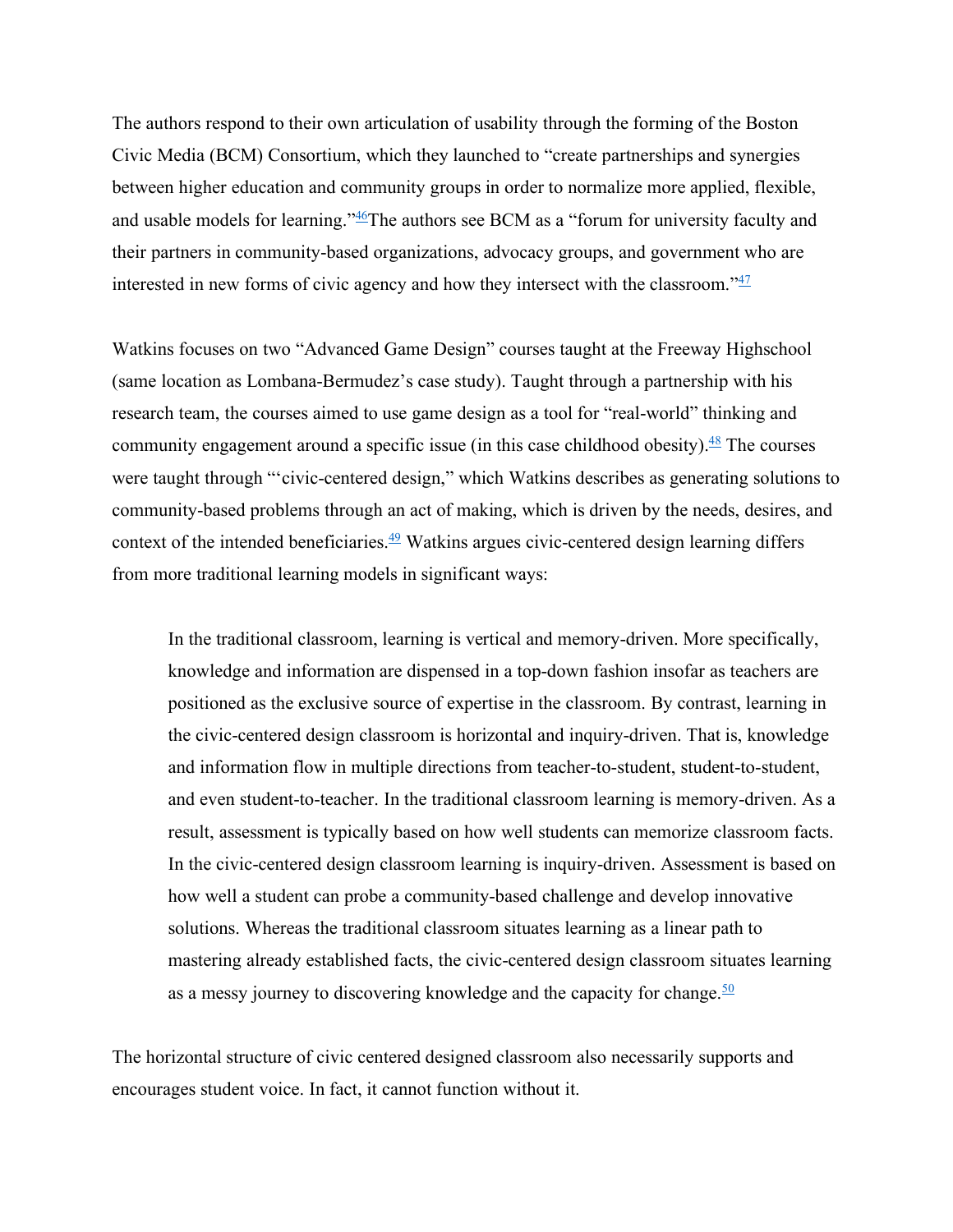The authors respond to their own articulation of usability through the forming of the Boston Civic Media (BCM) Consortium, which they launched to "create partnerships and synergies between higher education and community groups in order to normalize more applied, flexible, and usable models for learning."<sup>46</sup>The authors see BCM as a "forum for university faculty and their partners in community-based organizations, advocacy groups, and government who are interested in new forms of civic agency and how they intersect with the classroom." $\frac{47}{47}$ 

Watkins focuses on two "Advanced Game Design" courses taught at the Freeway Highschool (same location as Lombana-Bermudez's case study). Taught through a partnership with his research team, the courses aimed to use game design as a tool for "real-world" thinking and community engagement around a specific issue (in this case childhood obesity). $\frac{48}{3}$  The courses were taught through "'civic-centered design," which Watkins describes as generating solutions to community-based problems through an act of making, which is driven by the needs, desires, and context of the intended beneficiaries. $\frac{49}{2}$  Watkins argues civic-centered design learning differs from more traditional learning models in significant ways:

In the traditional classroom, learning is vertical and memory-driven. More specifically, knowledge and information are dispensed in a top-down fashion insofar as teachers are positioned as the exclusive source of expertise in the classroom. By contrast, learning in the civic-centered design classroom is horizontal and inquiry-driven. That is, knowledge and information flow in multiple directions from teacher-to-student, student-to-student, and even student-to-teacher. In the traditional classroom learning is memory-driven. As a result, assessment is typically based on how well students can memorize classroom facts. In the civic-centered design classroom learning is inquiry-driven. Assessment is based on how well a student can probe a community-based challenge and develop innovative solutions. Whereas the traditional classroom situates learning as a linear path to mastering already established facts, the civic-centered design classroom situates learning as a messy journey to discovering knowledge and the capacity for change.  $\frac{50}{2}$ 

The horizontal structure of civic centered designed classroom also necessarily supports and encourages student voice. In fact, it cannot function without it.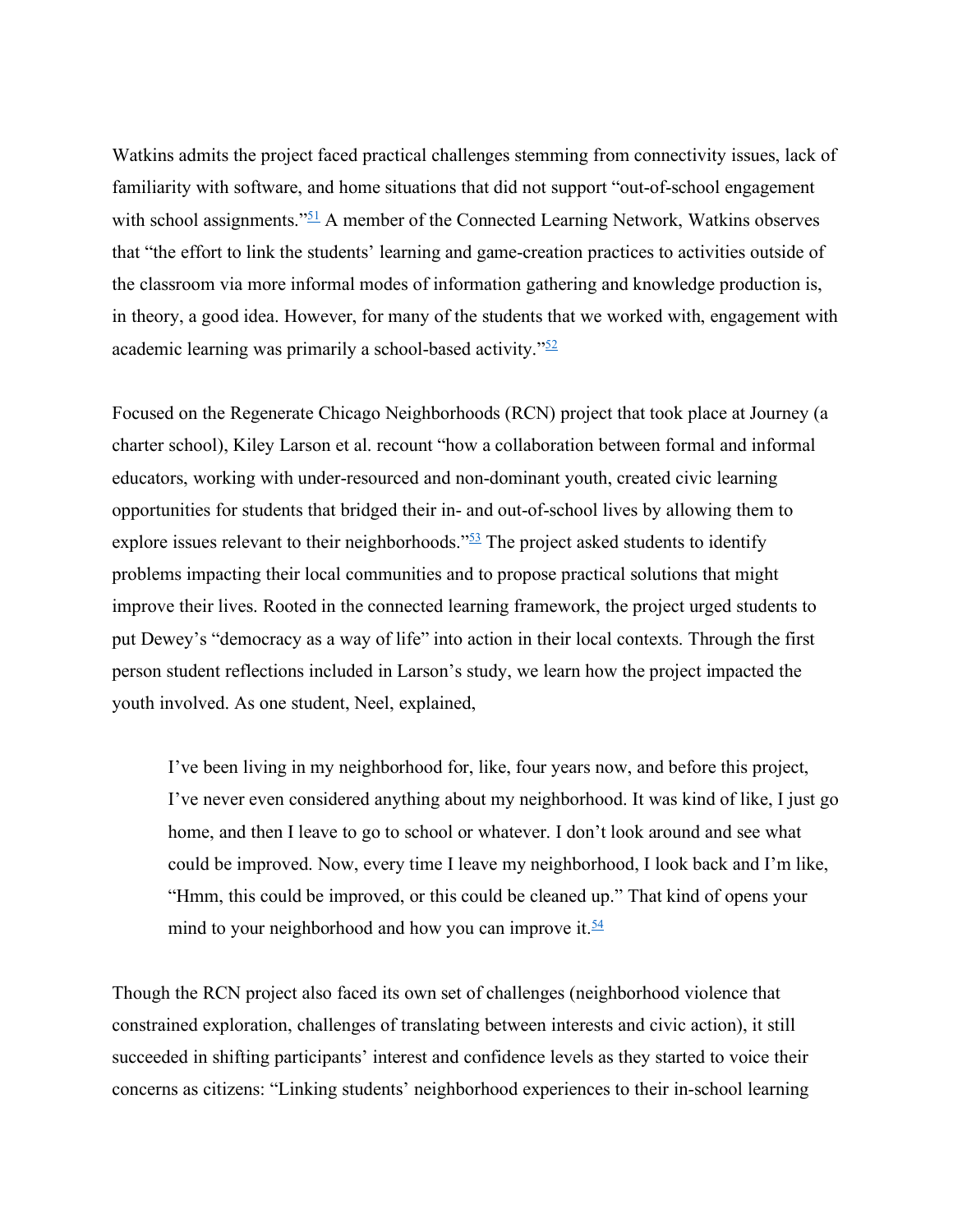Watkins admits the project faced practical challenges stemming from connectivity issues, lack of familiarity with software, and home situations that did not support "out-of-school engagement with school assignments." $51$  A member of the Connected Learning Network, Watkins observes that "the effort to link the students' learning and game-creation practices to activities outside of the classroom via more informal modes of information gathering and knowledge production is, in theory, a good idea. However, for many of the students that we worked with, engagement with academic learning was primarily a school-based activity." $52$ 

Focused on the Regenerate Chicago Neighborhoods (RCN) project that took place at Journey (a charter school), Kiley Larson et al. recount "how a collaboration between formal and informal educators, working with under-resourced and non-dominant youth, created civic learning opportunities for students that bridged their in- and out-of-school lives by allowing them to explore issues relevant to their neighborhoods."<sup>53</sup> The project asked students to identify problems impacting their local communities and to propose practical solutions that might improve their lives. Rooted in the connected learning framework, the project urged students to put Dewey's "democracy as a way of life" into action in their local contexts. Through the first person student reflections included in Larson's study, we learn how the project impacted the youth involved. As one student, Neel, explained,

I've been living in my neighborhood for, like, four years now, and before this project, I've never even considered anything about my neighborhood. It was kind of like, I just go home, and then I leave to go to school or whatever. I don't look around and see what could be improved. Now, every time I leave my neighborhood, I look back and I'm like, "Hmm, this could be improved, or this could be cleaned up." That kind of opens your mind to your neighborhood and how you can improve it.  $\frac{54}{5}$ 

Though the RCN project also faced its own set of challenges (neighborhood violence that constrained exploration, challenges of translating between interests and civic action), it still succeeded in shifting participants' interest and confidence levels as they started to voice their concerns as citizens: "Linking students' neighborhood experiences to their in-school learning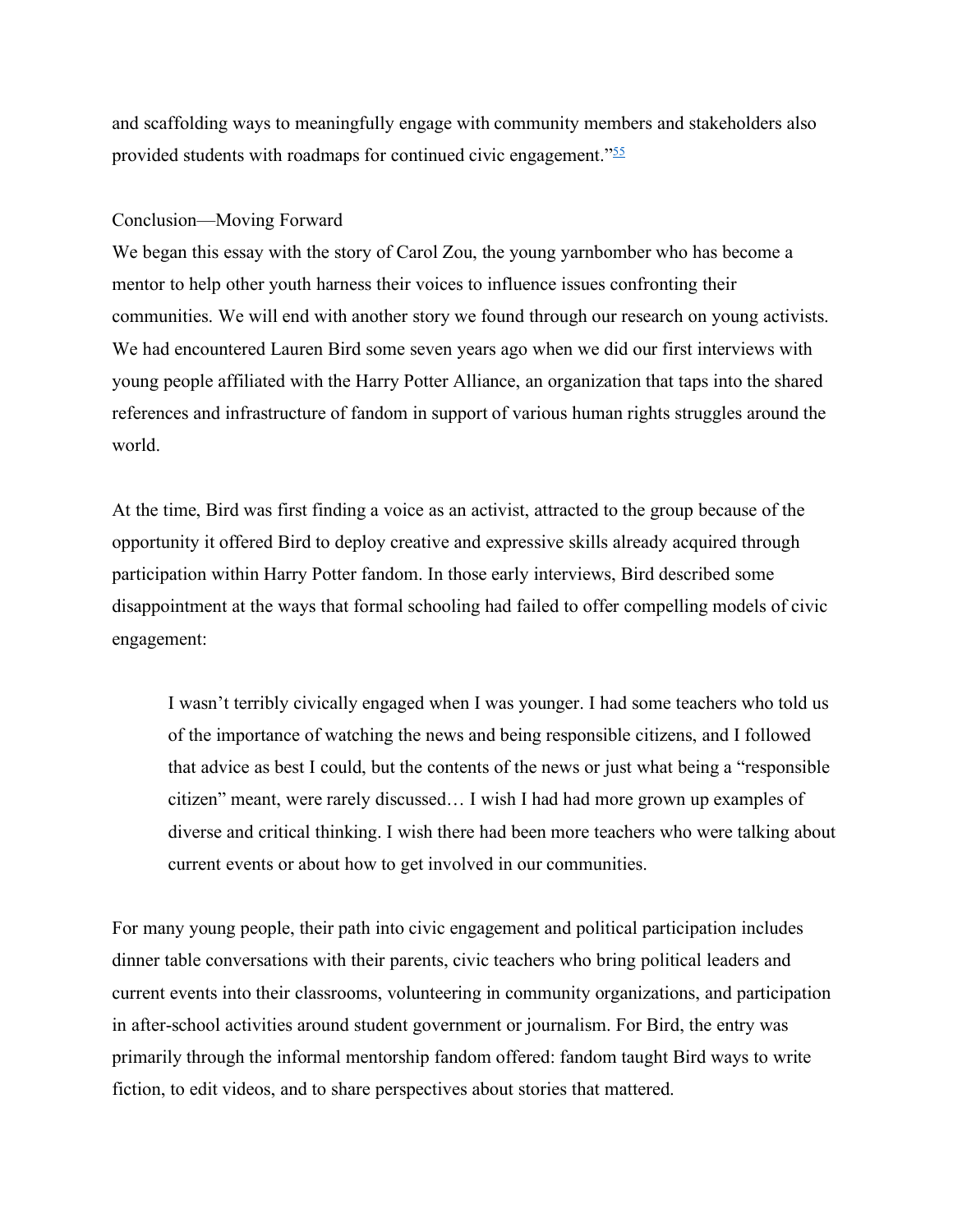and scaffolding ways to meaningfully engage with community members and stakeholders also provided students with roadmaps for continued civic engagement."<sup>55</sup>

## Conclusion—Moving Forward

We began this essay with the story of Carol Zou, the young yarnbomber who has become a mentor to help other youth harness their voices to influence issues confronting their communities. We will end with another story we found through our research on young activists. We had encountered Lauren Bird some seven years ago when we did our first interviews with young people affiliated with the Harry Potter Alliance, an organization that taps into the shared references and infrastructure of fandom in support of various human rights struggles around the world.

At the time, Bird was first finding a voice as an activist, attracted to the group because of the opportunity it offered Bird to deploy creative and expressive skills already acquired through participation within Harry Potter fandom. In those early interviews, Bird described some disappointment at the ways that formal schooling had failed to offer compelling models of civic engagement:

I wasn't terribly civically engaged when I was younger. I had some teachers who told us of the importance of watching the news and being responsible citizens, and I followed that advice as best I could, but the contents of the news or just what being a "responsible citizen" meant, were rarely discussed… I wish I had had more grown up examples of diverse and critical thinking. I wish there had been more teachers who were talking about current events or about how to get involved in our communities.

For many young people, their path into civic engagement and political participation includes dinner table conversations with their parents, civic teachers who bring political leaders and current events into their classrooms, volunteering in community organizations, and participation in after-school activities around student government or journalism. For Bird, the entry was primarily through the informal mentorship fandom offered: fandom taught Bird ways to write fiction, to edit videos, and to share perspectives about stories that mattered.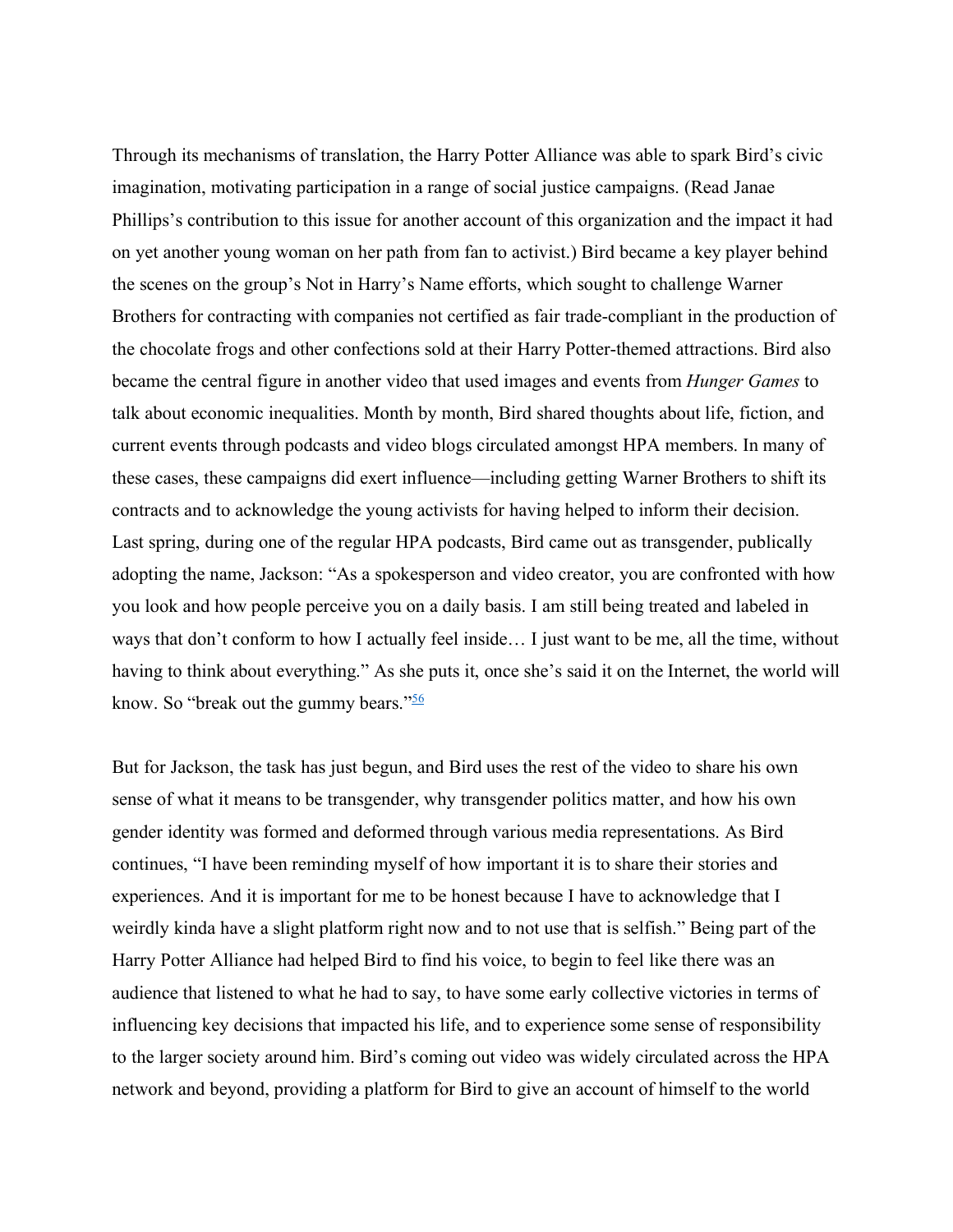Through its mechanisms of translation, the Harry Potter Alliance was able to spark Bird's civic imagination, motivating participation in a range of social justice campaigns. (Read Janae Phillips's contribution to this issue for another account of this organization and the impact it had on yet another young woman on her path from fan to activist.) Bird became a key player behind the scenes on the group's Not in Harry's Name efforts, which sought to challenge Warner Brothers for contracting with companies not certified as fair trade-compliant in the production of the chocolate frogs and other confections sold at their Harry Potter-themed attractions. Bird also became the central figure in another video that used images and events from *Hunger Games* to talk about economic inequalities. Month by month, Bird shared thoughts about life, fiction, and current events through podcasts and video blogs circulated amongst HPA members. In many of these cases, these campaigns did exert influence—including getting Warner Brothers to shift its contracts and to acknowledge the young activists for having helped to inform their decision. Last spring, during one of the regular HPA podcasts, Bird came out as transgender, publically adopting the name, Jackson: "As a spokesperson and video creator, you are confronted with how you look and how people perceive you on a daily basis. I am still being treated and labeled in ways that don't conform to how I actually feel inside… I just want to be me, all the time, without having to think about everything." As she puts it, once she's said it on the Internet, the world will know. So "break out the gummy bears."<sup>56</sup>

But for Jackson, the task has just begun, and Bird uses the rest of the video to share his own sense of what it means to be transgender, why transgender politics matter, and how his own gender identity was formed and deformed through various media representations. As Bird continues, "I have been reminding myself of how important it is to share their stories and experiences. And it is important for me to be honest because I have to acknowledge that I weirdly kinda have a slight platform right now and to not use that is selfish." Being part of the Harry Potter Alliance had helped Bird to find his voice, to begin to feel like there was an audience that listened to what he had to say, to have some early collective victories in terms of influencing key decisions that impacted his life, and to experience some sense of responsibility to the larger society around him. Bird's coming out video was widely circulated across the HPA network and beyond, providing a platform for Bird to give an account of himself to the world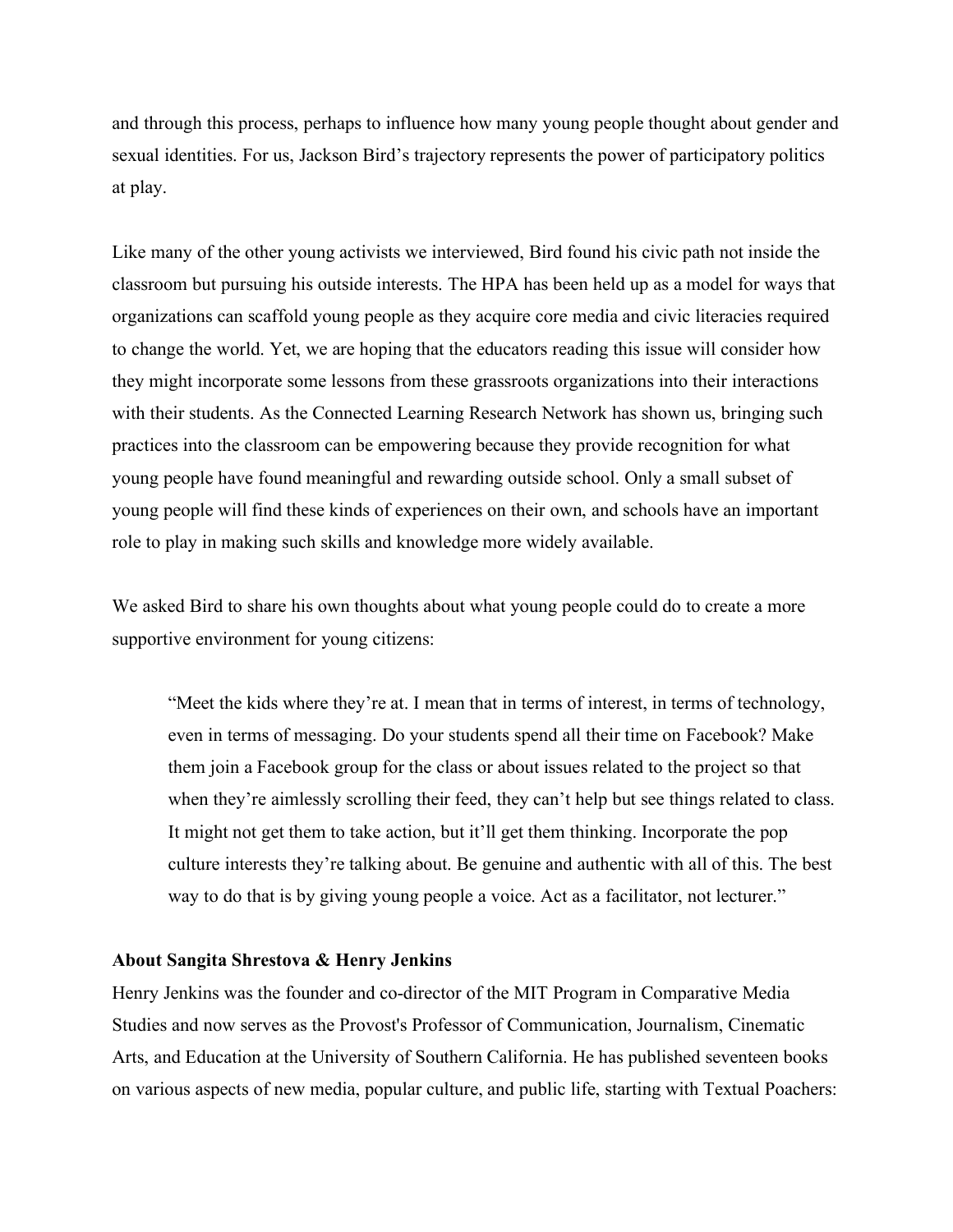and through this process, perhaps to influence how many young people thought about gender and sexual identities. For us, Jackson Bird's trajectory represents the power of participatory politics at play.

Like many of the other young activists we interviewed, Bird found his civic path not inside the classroom but pursuing his outside interests. The HPA has been held up as a model for ways that organizations can scaffold young people as they acquire core media and civic literacies required to change the world. Yet, we are hoping that the educators reading this issue will consider how they might incorporate some lessons from these grassroots organizations into their interactions with their students. As the Connected Learning Research Network has shown us, bringing such practices into the classroom can be empowering because they provide recognition for what young people have found meaningful and rewarding outside school. Only a small subset of young people will find these kinds of experiences on their own, and schools have an important role to play in making such skills and knowledge more widely available.

We asked Bird to share his own thoughts about what young people could do to create a more supportive environment for young citizens:

"Meet the kids where they're at. I mean that in terms of interest, in terms of technology, even in terms of messaging. Do your students spend all their time on Facebook? Make them join a Facebook group for the class or about issues related to the project so that when they're aimlessly scrolling their feed, they can't help but see things related to class. It might not get them to take action, but it'll get them thinking. Incorporate the pop culture interests they're talking about. Be genuine and authentic with all of this. The best way to do that is by giving young people a voice. Act as a facilitator, not lecturer."

#### **About Sangita Shrestova & Henry Jenkins**

Henry Jenkins was the founder and co-director of the MIT Program in Comparative Media Studies and now serves as the Provost's Professor of Communication, Journalism, Cinematic Arts, and Education at the University of Southern California. He has published seventeen books on various aspects of new media, popular culture, and public life, starting with Textual Poachers: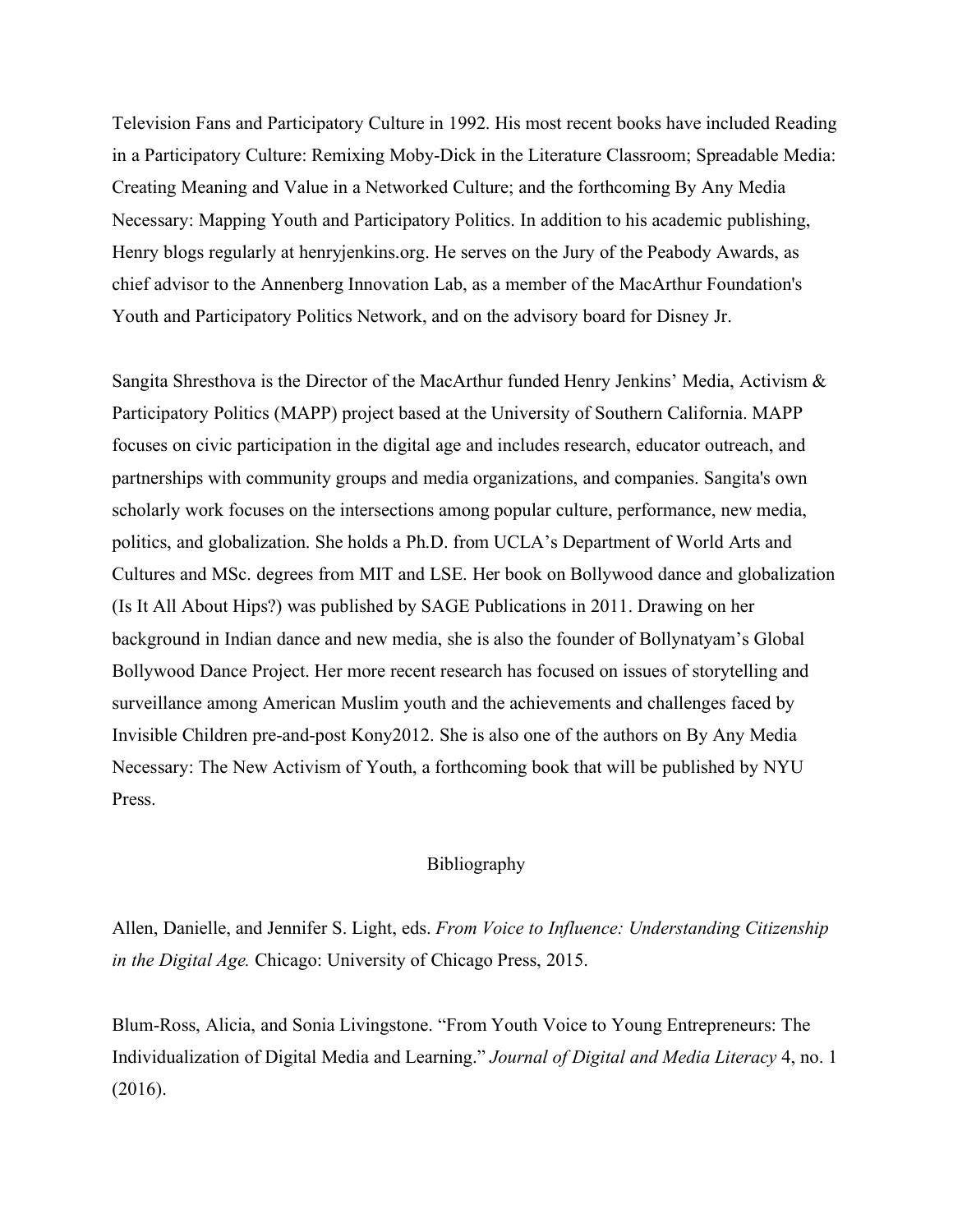Television Fans and Participatory Culture in 1992. His most recent books have included Reading in a Participatory Culture: Remixing Moby-Dick in the Literature Classroom; Spreadable Media: Creating Meaning and Value in a Networked Culture; and the forthcoming By Any Media Necessary: Mapping Youth and Participatory Politics. In addition to his academic publishing, Henry blogs regularly at henryjenkins.org. He serves on the Jury of the Peabody Awards, as chief advisor to the Annenberg Innovation Lab, as a member of the MacArthur Foundation's Youth and Participatory Politics Network, and on the advisory board for Disney Jr.

Sangita Shresthova is the Director of the MacArthur funded Henry Jenkins' Media, Activism & Participatory Politics (MAPP) project based at the University of Southern California. MAPP focuses on civic participation in the digital age and includes research, educator outreach, and partnerships with community groups and media organizations, and companies. Sangita's own scholarly work focuses on the intersections among popular culture, performance, new media, politics, and globalization. She holds a Ph.D. from UCLA's Department of World Arts and Cultures and MSc. degrees from MIT and LSE. Her book on Bollywood dance and globalization (Is It All About Hips?) was published by SAGE Publications in 2011. Drawing on her background in Indian dance and new media, she is also the founder of Bollynatyam's Global Bollywood Dance Project. Her more recent research has focused on issues of storytelling and surveillance among American Muslim youth and the achievements and challenges faced by Invisible Children pre-and-post Kony2012. She is also one of the authors on By Any Media Necessary: The New Activism of Youth, a forthcoming book that will be published by NYU Press.

# Bibliography

Allen, Danielle, and Jennifer S. Light, eds. *From Voice to Influence: Understanding Citizenship in the Digital Age.* Chicago: University of Chicago Press, 2015.

Blum-Ross, Alicia, and Sonia Livingstone. "From Youth Voice to Young Entrepreneurs: The Individualization of Digital Media and Learning." *Journal of Digital and Media Literacy* 4, no. 1 (2016).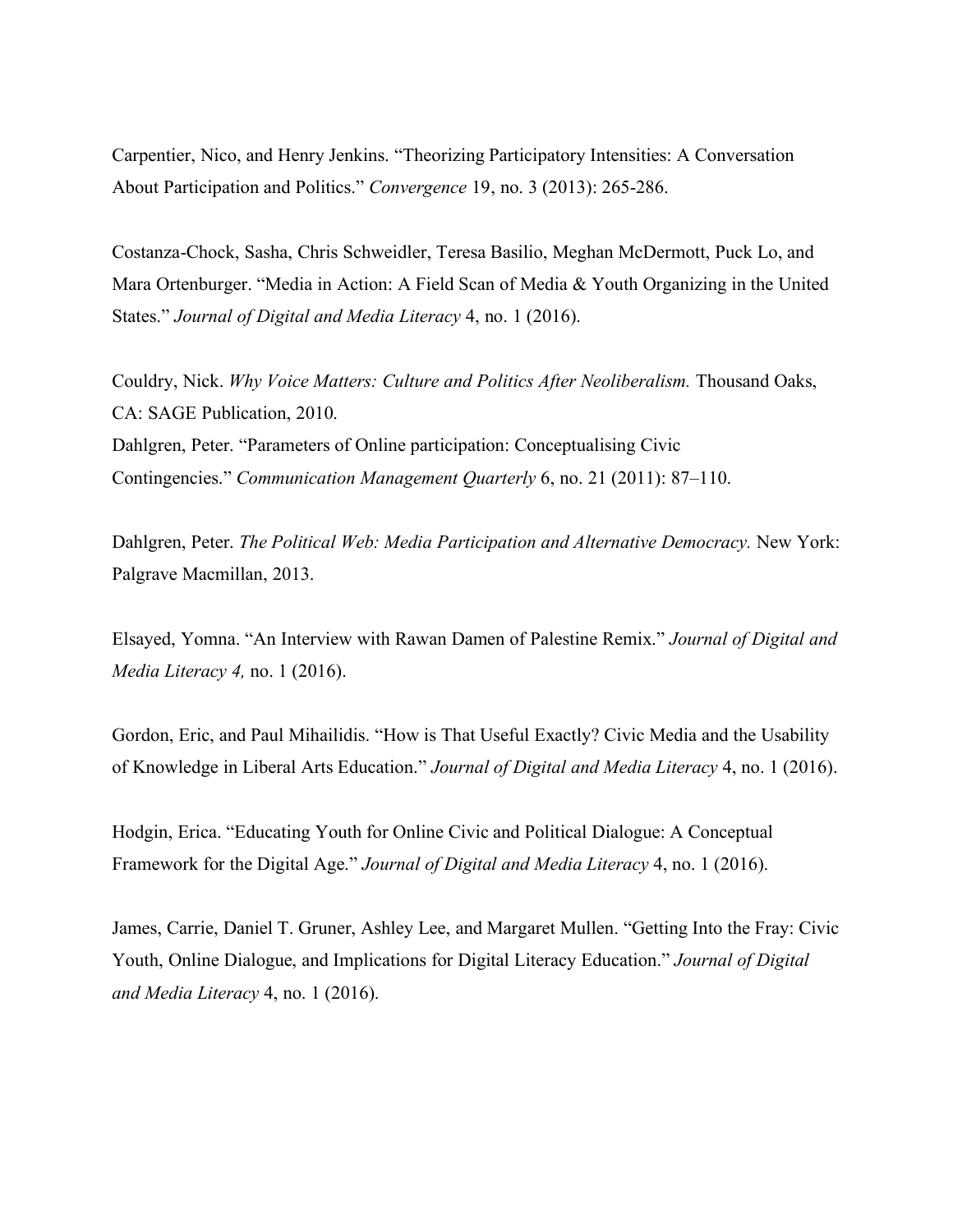Carpentier, Nico, and Henry Jenkins. "Theorizing Participatory Intensities: A Conversation About Participation and Politics." *Convergence* 19, no. 3 (2013): 265-286.

Costanza-Chock, Sasha, Chris Schweidler, Teresa Basilio, Meghan McDermott, Puck Lo, and Mara Ortenburger. "Media in Action: A Field Scan of Media & Youth Organizing in the United States." *Journal of Digital and Media Literacy* 4, no. 1 (2016).

Couldry, Nick. *Why Voice Matters: Culture and Politics After Neoliberalism.* Thousand Oaks, CA: SAGE Publication, 2010. Dahlgren, Peter. "Parameters of Online participation: Conceptualising Civic Contingencies." *Communication Management Quarterly* 6, no. 21 (2011): 87–110.

Dahlgren, Peter. *The Political Web: Media Participation and Alternative Democracy.* New York: Palgrave Macmillan, 2013.

Elsayed, Yomna. "An Interview with Rawan Damen of Palestine Remix." *Journal of Digital and Media Literacy 4,* no. 1 (2016).

Gordon, Eric, and Paul Mihailidis. "How is That Useful Exactly? Civic Media and the Usability of Knowledge in Liberal Arts Education." *Journal of Digital and Media Literacy* 4, no. 1 (2016).

Hodgin, Erica. "Educating Youth for Online Civic and Political Dialogue: A Conceptual Framework for the Digital Age." *Journal of Digital and Media Literacy* 4, no. 1 (2016).

James, Carrie, Daniel T. Gruner, Ashley Lee, and Margaret Mullen. "Getting Into the Fray: Civic Youth, Online Dialogue, and Implications for Digital Literacy Education." *Journal of Digital and Media Literacy* 4, no. 1 (2016).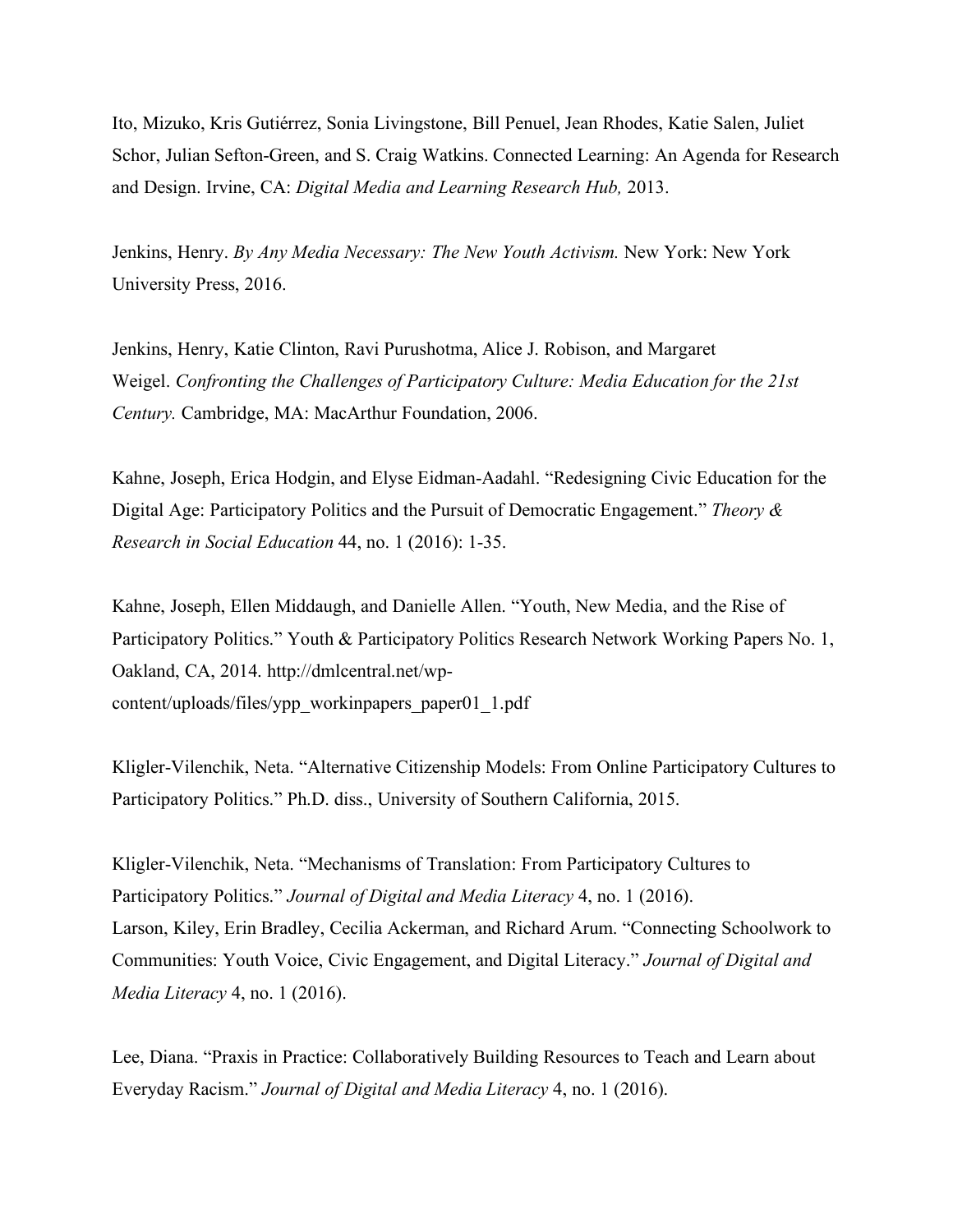Ito, Mizuko, Kris Gutiérrez, Sonia Livingstone, Bill Penuel, Jean Rhodes, Katie Salen, Juliet Schor, Julian Sefton-Green, and S. Craig Watkins. Connected Learning: An Agenda for Research and Design. Irvine, CA: *Digital Media and Learning Research Hub,* 2013.

Jenkins, Henry. *By Any Media Necessary: The New Youth Activism.* New York: New York University Press, 2016.

Jenkins, Henry, Katie Clinton, Ravi Purushotma, Alice J. Robison, and Margaret Weigel. *Confronting the Challenges of Participatory Culture: Media Education for the 21st Century.* Cambridge, MA: MacArthur Foundation, 2006.

Kahne, Joseph, Erica Hodgin, and Elyse Eidman-Aadahl. "Redesigning Civic Education for the Digital Age: Participatory Politics and the Pursuit of Democratic Engagement." *Theory & Research in Social Education* 44, no. 1 (2016): 1-35.

Kahne, Joseph, Ellen Middaugh, and Danielle Allen. "Youth, New Media, and the Rise of Participatory Politics." Youth & Participatory Politics Research Network Working Papers No. 1, Oakland, CA, 2014. http://dmlcentral.net/wpcontent/uploads/files/ypp\_workinpapers\_paper01\_1.pdf

Kligler-Vilenchik, Neta. "Alternative Citizenship Models: From Online Participatory Cultures to Participatory Politics." Ph.D. diss., University of Southern California, 2015.

Kligler-Vilenchik, Neta. "Mechanisms of Translation: From Participatory Cultures to Participatory Politics." *Journal of Digital and Media Literacy* 4, no. 1 (2016). Larson, Kiley, Erin Bradley, Cecilia Ackerman, and Richard Arum. "Connecting Schoolwork to Communities: Youth Voice, Civic Engagement, and Digital Literacy." *Journal of Digital and Media Literacy* 4, no. 1 (2016).

Lee, Diana. "Praxis in Practice: Collaboratively Building Resources to Teach and Learn about Everyday Racism." *Journal of Digital and Media Literacy* 4, no. 1 (2016).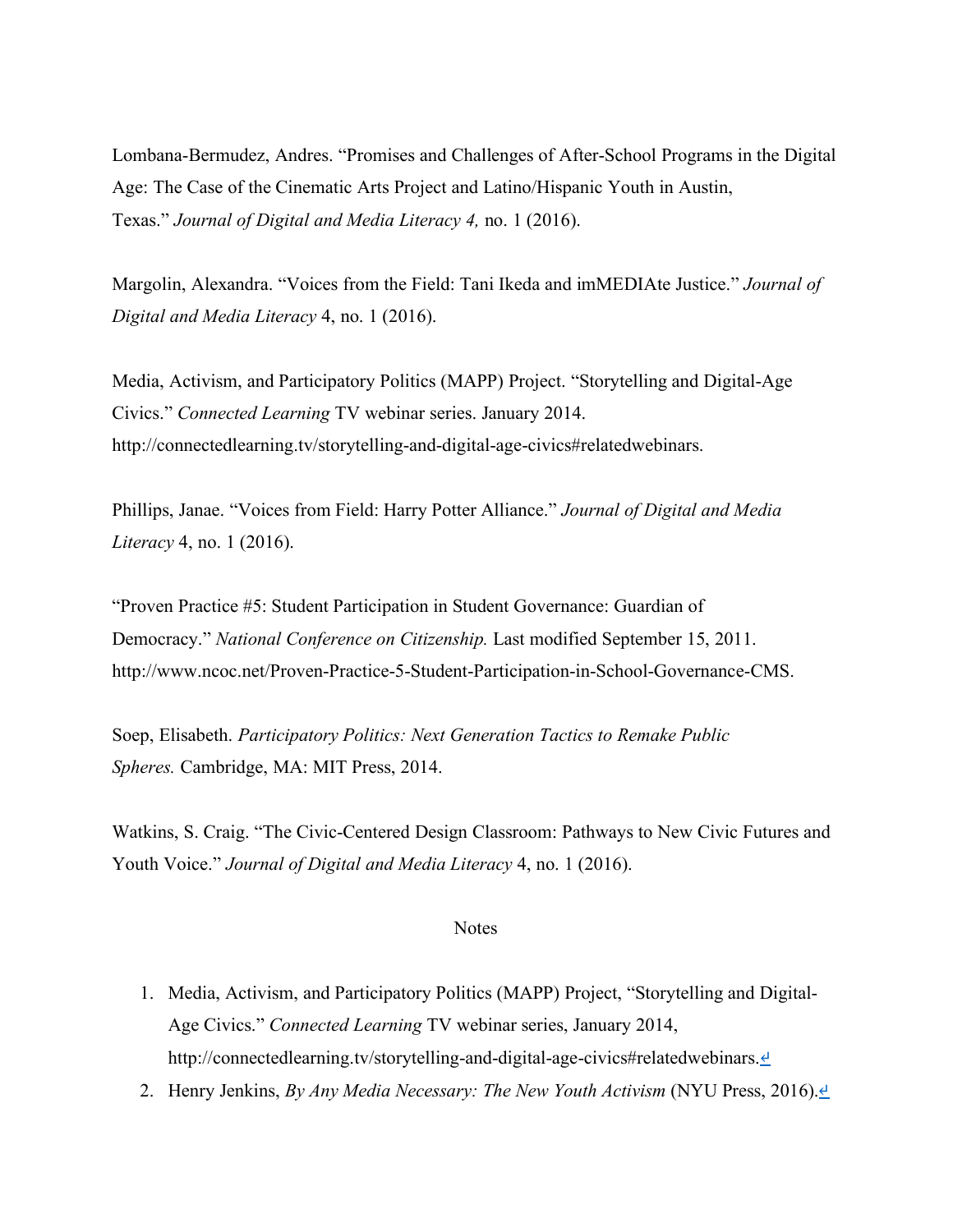Lombana-Bermudez, Andres. "Promises and Challenges of After-School Programs in the Digital Age: The Case of the Cinematic Arts Project and Latino/Hispanic Youth in Austin, Texas." *Journal of Digital and Media Literacy 4,* no. 1 (2016).

Margolin, Alexandra. "Voices from the Field: Tani Ikeda and imMEDIAte Justice." *Journal of Digital and Media Literacy* 4, no. 1 (2016).

Media, Activism, and Participatory Politics (MAPP) Project. "Storytelling and Digital-Age Civics." *Connected Learning* TV webinar series. January 2014. http://connectedlearning.tv/storytelling-and-digital-age-civics#relatedwebinars.

Phillips, Janae. "Voices from Field: Harry Potter Alliance." *Journal of Digital and Media Literacy* 4, no. 1 (2016).

"Proven Practice #5: Student Participation in Student Governance: Guardian of Democracy." *National Conference on Citizenship.* Last modified September 15, 2011. http://www.ncoc.net/Proven-Practice-5-Student-Participation-in-School-Governance-CMS.

Soep, Elisabeth. *Participatory Politics: Next Generation Tactics to Remake Public Spheres.* Cambridge, MA: MIT Press, 2014.

Watkins, S. Craig. "The Civic-Centered Design Classroom: Pathways to New Civic Futures and Youth Voice." *Journal of Digital and Media Literacy* 4, no. 1 (2016).

#### **Notes**

- 1. Media, Activism, and Participatory Politics (MAPP) Project, "Storytelling and Digital-Age Civics." *Connected Learning* TV webinar series, January 2014, http://connectedlearning.tv/storytelling-and-digital-age-civics#relatedwebinars. ₫
- 2. Henry Jenkins, *By Any Media Necessary: The New Youth Activism* (NYU Press, 2016).<sup>*↓*</sup>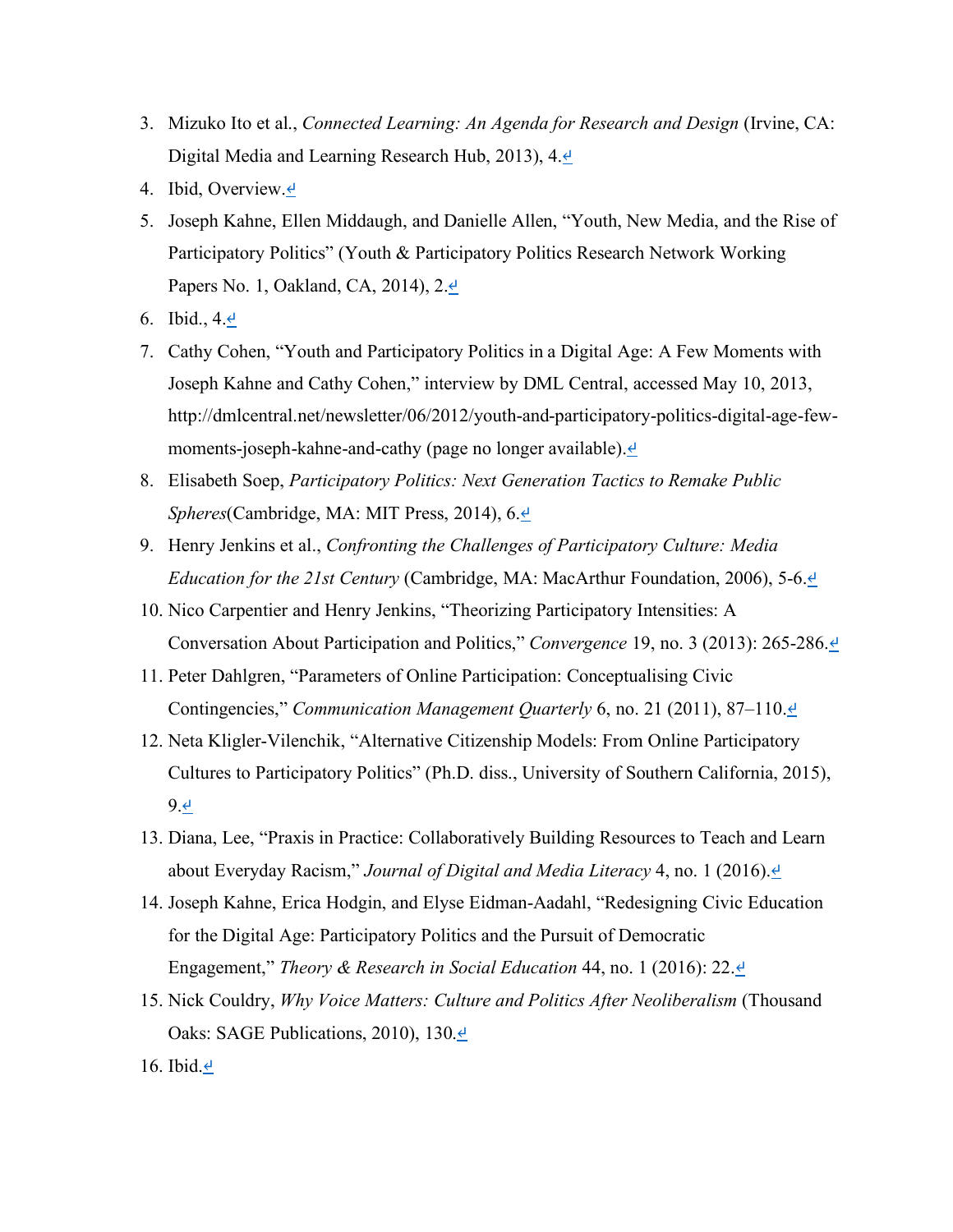- 3. Mizuko Ito et al., *Connected Learning: An Agenda for Research and Design* (Irvine, CA: Digital Media and Learning Research Hub, 2013), 4.↵
- 4. Ibid, Overview.↵
- 5. Joseph Kahne, Ellen Middaugh, and Danielle Allen, "Youth, New Media, and the Rise of Participatory Politics" (Youth & Participatory Politics Research Network Working Papers No. 1, Oakland, CA, 2014), 2.*⊎*
- 6. Ibid.,  $4.4$
- 7. Cathy Cohen, "Youth and Participatory Politics in a Digital Age: A Few Moments with Joseph Kahne and Cathy Cohen," interview by DML Central, accessed May 10, 2013, http://dmlcentral.net/newsletter/06/2012/youth-and-participatory-politics-digital-age-fewmoments-joseph-kahne-and-cathy (page no longer available). <sup>⊌</sup>
- 8. Elisabeth Soep, *Participatory Politics: Next Generation Tactics to Remake Public Spheres*(Cambridge, MA: MIT Press, 2014), 6.↵
- 9. Henry Jenkins et al., *Confronting the Challenges of Participatory Culture: Media Education for the 21st Century* (Cambridge, MA: MacArthur Foundation, 2006), 5-6.<del></del>
- 10. Nico Carpentier and Henry Jenkins, "Theorizing Participatory Intensities: A Conversation About Participation and Politics," *Convergence* 19, no. 3 (2013): 265-286.↵
- 11. Peter Dahlgren, "Parameters of Online Participation: Conceptualising Civic Contingencies," *Communication Management Quarterly* 6, no. 21 (2011), 87–110.₫
- 12. Neta Kligler-Vilenchik, "Alternative Citizenship Models: From Online Participatory Cultures to Participatory Politics" (Ph.D. diss., University of Southern California, 2015), 9.↵
- 13. Diana, Lee, "Praxis in Practice: Collaboratively Building Resources to Teach and Learn about Everyday Racism," *Journal of Digital and Media Literacy* 4, no. 1 (2016).<sup>⊎</sup>
- 14. Joseph Kahne, Erica Hodgin, and Elyse Eidman-Aadahl, "Redesigning Civic Education for the Digital Age: Participatory Politics and the Pursuit of Democratic Engagement," *Theory & Research in Social Education* 44, no. 1 (2016): 22.↵
- 15. Nick Couldry, *Why Voice Matters: Culture and Politics After Neoliberalism* (Thousand Oaks: SAGE Publications, 2010), 130. $\triangleq$
- 16. Ibid. $\triangleq$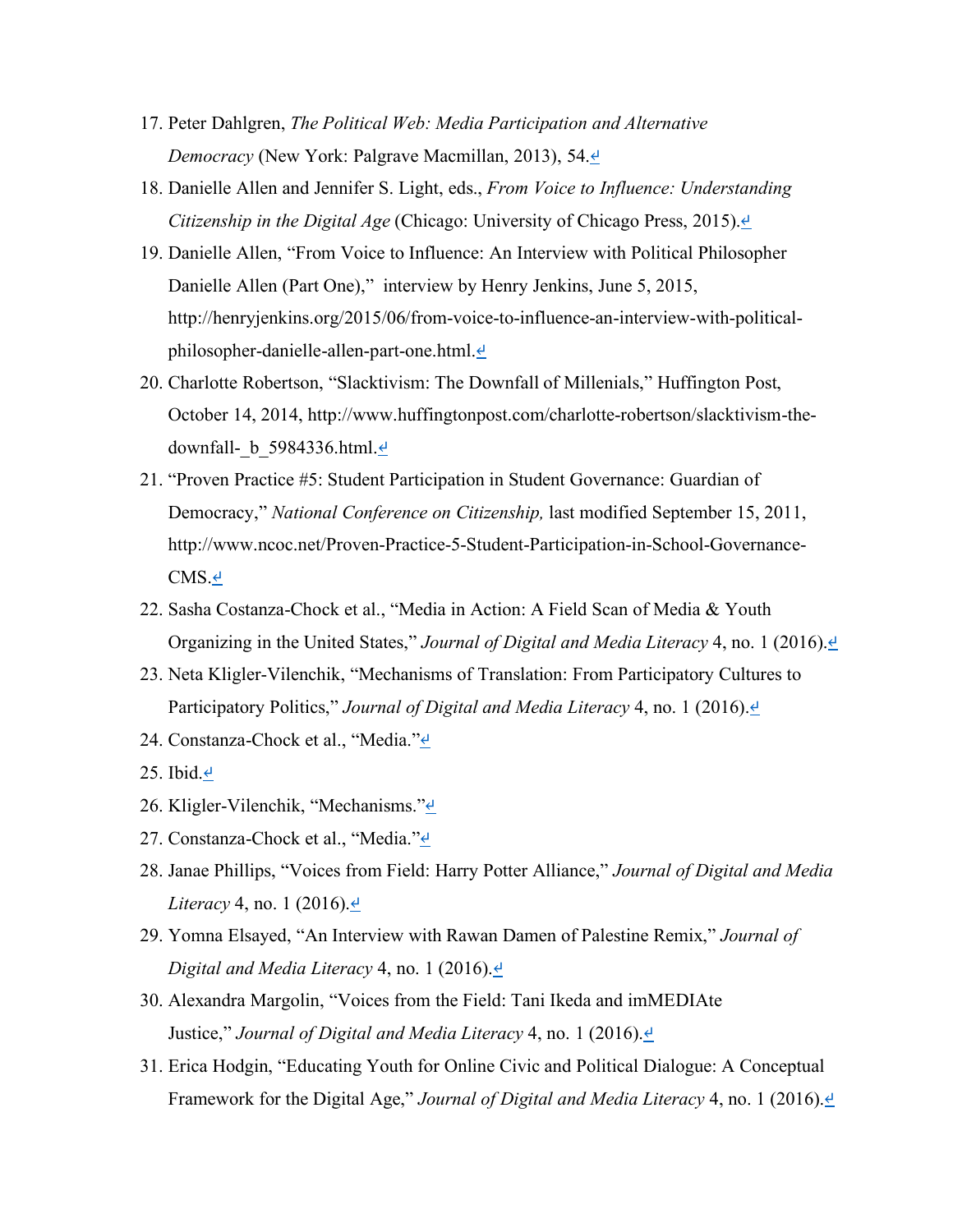- 17. Peter Dahlgren, *The Political Web: Media Participation and Alternative Democracy* (New York: Palgrave Macmillan, 2013), 54.↵
- 18. Danielle Allen and Jennifer S. Light, eds., *From Voice to Influence: Understanding Citizenship in the Digital Age* (Chicago: University of Chicago Press, 2015).↵
- 19. Danielle Allen, "From Voice to Influence: An Interview with Political Philosopher Danielle Allen (Part One)," interview by Henry Jenkins, June 5, 2015, http://henryjenkins.org/2015/06/from-voice-to-influence-an-interview-with-politicalphilosopher-danielle-allen-part-one.html. ⊌
- 20. Charlotte Robertson, "Slacktivism: The Downfall of Millenials," Huffington Post, October 14, 2014, http://www.huffingtonpost.com/charlotte-robertson/slacktivism-thedownfall-  $b$  5984336.html. $\triangleq$
- 21. "Proven Practice #5: Student Participation in Student Governance: Guardian of Democracy," *National Conference on Citizenship,* last modified September 15, 2011, http://www.ncoc.net/Proven-Practice-5-Student-Participation-in-School-Governance-CMS.↵
- 22. Sasha Costanza-Chock et al., "Media in Action: A Field Scan of Media & Youth Organizing in the United States," *Journal of Digital and Media Literacy* 4, no. 1 (2016).↵
- 23. Neta Kligler-Vilenchik, "Mechanisms of Translation: From Participatory Cultures to Participatory Politics," *Journal of Digital and Media Literacy* 4, no. 1 (2016).<sup>₫</sup>
- 24. Constanza-Chock et al., "Media."<sup>↓</sup>
- 25. Ibid. $\cdot$
- 26. Kligler-Vilenchik, "Mechanisms."↵
- 27. Constanza-Chock et al., "Media."<sup>⊿</sup>
- 28. Janae Phillips, "Voices from Field: Harry Potter Alliance," *Journal of Digital and Media Literacy* 4, no. 1 (2016). $\triangleq$
- 29. Yomna Elsayed, "An Interview with Rawan Damen of Palestine Remix," *Journal of Digital and Media Literacy* 4, no. 1 (2016).↵
- 30. Alexandra Margolin, "Voices from the Field: Tani Ikeda and imMEDIAte Justice," *Journal of Digital and Media Literacy* 4, no. 1 (2016).*⊎*
- 31. Erica Hodgin, "Educating Youth for Online Civic and Political Dialogue: A Conceptual Framework for the Digital Age," *Journal of Digital and Media Literacy* 4, no. 1 (2016).↵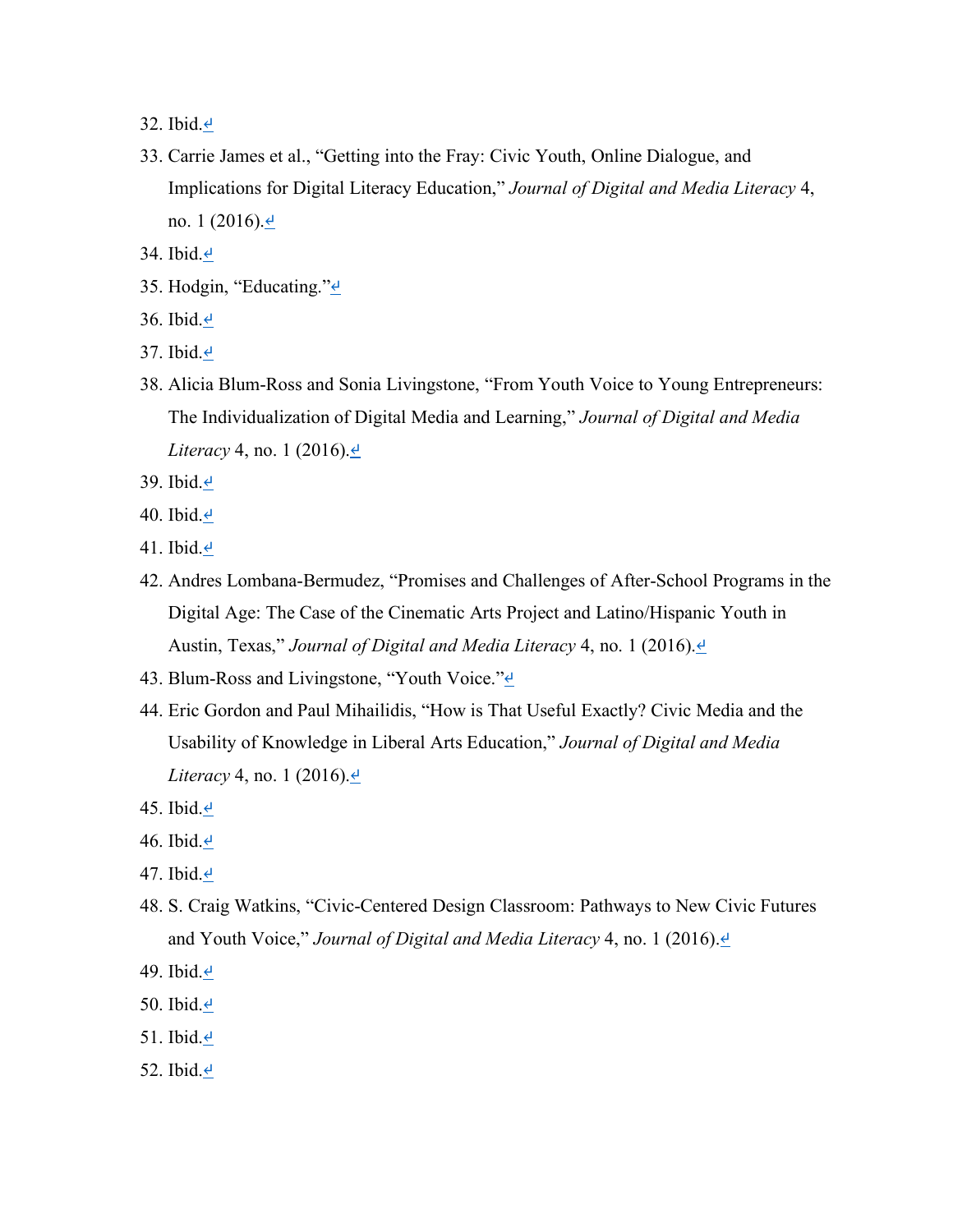32. Ibid.↵

- 33. Carrie James et al., "Getting into the Fray: Civic Youth, Online Dialogue, and Implications for Digital Literacy Education," *Journal of Digital and Media Literacy* 4, no. 1 (2016). $\triangleq$
- 34. Ibid. $\triangleq$
- 35. Hodgin, "Educating."<sup>⊿</sup>
- 36. Ibid.↵
- 37. Ibid.↵
- 38. Alicia Blum-Ross and Sonia Livingstone, "From Youth Voice to Young Entrepreneurs: The Individualization of Digital Media and Learning," *Journal of Digital and Media Literacy* 4, no. 1 (2016).<u></u>⊌
- 39. Ibid.↵
- 40. Ibid. $\triangleq$
- 41. Ibid. $\epsilon$
- 42. Andres Lombana-Bermudez, "Promises and Challenges of After-School Programs in the Digital Age: The Case of the Cinematic Arts Project and Latino/Hispanic Youth in Austin, Texas," *Journal of Digital and Media Literacy* 4, no. 1 (2016).<sup>⊌</sup>
- 43. Blum-Ross and Livingstone, "Youth Voice." $\leq$
- 44. Eric Gordon and Paul Mihailidis, "How is That Useful Exactly? Civic Media and the Usability of Knowledge in Liberal Arts Education," *Journal of Digital and Media Literacy* 4, no. 1 (2016).<u></u>
- 45. Ibid.↵
- 46. Ibid. $\cdot$
- 47. Ibid.↵
- 48. S. Craig Watkins, "Civic-Centered Design Classroom: Pathways to New Civic Futures and Youth Voice," *Journal of Digital and Media Literacy* 4, no. 1 (2016).<sup>⊎</sup>
- 49. Ibid. $\triangleq$
- 50. Ibid. $\triangleq$
- 51. Ibid. $\triangleq$
- 52. Ibid. $\triangleq$